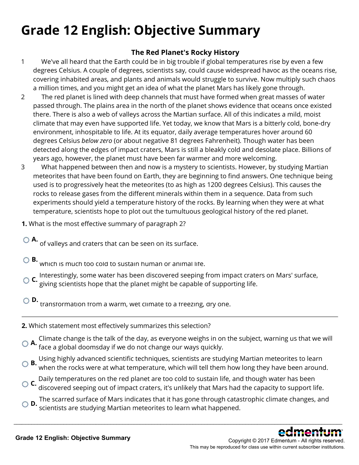# **Grade 12 English: Objective Summary**

## **The Red Planet's Rocky History**

- 1 We've all heard that the Earth could be in big trouble if global temperatures rise by even a few degrees Celsius. A couple of degrees, scientists say, could cause widespread havoc as the oceans rise, covering inhabited areas, and plants and animals would struggle to survive. Now multiply such chaos a million times, and you might get an idea of what the planet Mars has likely gone through.
- 2 The red planet is lined with deep channels that must have formed when great masses of water passed through. The plains area in the north of the planet shows evidence that oceans once existed there. There is also a web of valleys across the Martian surface. All of this indicates a mild, moist climate that may even have supported life. Yet today, we know that Mars is a bitterly cold, bone-dry environment, inhospitable to life. At its equator, daily average temperatures hover around 60 degrees Celsius *below zero* (or about negative 81 degrees Fahrenheit). Though water has been detected along the edges of impact craters, Mars is still a bleakly cold and desolate place. Billions of years ago, however, the planet must have been far warmer and more welcoming.
- 3 What happened between then and now is a mystery to scientists. However, by studying Martian meteorites that have been found on Earth, they are beginning to find answers. One technique being used is to progressively heat the meteorites (to as high as 1200 degrees Celsius). This causes the rocks to release gases from the different minerals within them in a sequence. Data from such experiments should yield a temperature history of the rocks. By learning when they were at what temperature, scientists hope to plot out the tumultuous geological history of the red planet.
- **1.** What is the most effective summary of paragraph 2?
	- **A.**<br>" of valleys and craters that can be seen on its surface.
- **B.**<br>Which is much too cold to sustain human or animal life.
- **C.** Interestingly, some water has been discovered seeping from impact craters on Mars' surface, giving scientists hope that the planet might be capable of supporting life.
- **D.**<br>transformation from a warm, wet climate to a freezing, dry one.
- **2.** Which statement most effectively summarizes this selection?
- **A.** Climate change is the talk of the day, as everyone weighs in on the subject, warning us that we will face a global doomsday if we do not change our ways quickly.
- **B.** Using highly advanced scientific techniques, scientists are studying Martian meteorites to learn when the rocks were at what temperature, which will tell them how long they have been around.
- **C.** Daily temperatures on the red planet are too cold to sustain life, and though water has been discovered seeping out of impact craters, it's unlikely that Mars had the capacity to support life.
- **D.** The scarred surface of Mars indicates that it has gone through catastrophic climate changes, and scientists are studying Martian meteorites to learn what happened.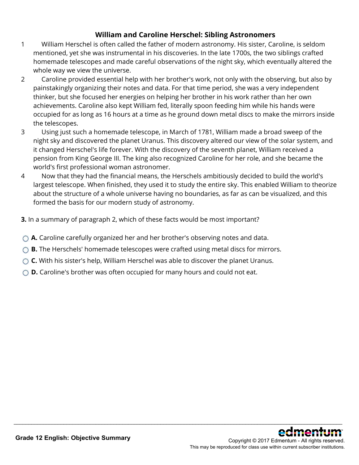## **William and Caroline Herschel: Sibling Astronomers**

- 1 William Herschel is often called the father of modern astronomy. His sister, Caroline, is seldom mentioned, yet she was instrumental in his discoveries. In the late 1700s, the two siblings crafted homemade telescopes and made careful observations of the night sky, which eventually altered the whole way we view the universe.
- 2 Caroline provided essential help with her brother's work, not only with the observing, but also by painstakingly organizing their notes and data. For that time period, she was a very independent thinker, but she focused her energies on helping her brother in his work rather than her own achievements. Caroline also kept William fed, literally spoon feeding him while his hands were occupied for as long as 16 hours at a time as he ground down metal discs to make the mirrors inside the telescopes.
- 3 Using just such a homemade telescope, in March of 1781, William made a broad sweep of the night sky and discovered the planet Uranus. This discovery altered our view of the solar system, and it changed Herschel's life forever. With the discovery of the seventh planet, William received a pension from King George III. The king also recognized Caroline for her role, and she became the world's first professional woman astronomer.
- 4 Now that they had the financial means, the Herschels ambitiously decided to build the world's largest telescope. When finished, they used it to study the entire sky. This enabled William to theorize about the structure of a whole universe having no boundaries, as far as can be visualized, and this formed the basis for our modern study of astronomy.

- **3.** In a summary of paragraph 2, which of these facts would be most important?
- **A.** Caroline carefully organized her and her brother's observing notes and data.
- **B.** The Herschels' homemade telescopes were crafted using metal discs for mirrors.
- **C.** With his sister's help, William Herschel was able to discover the planet Uranus.
- **D.** Caroline's brother was often occupied for many hours and could not eat.

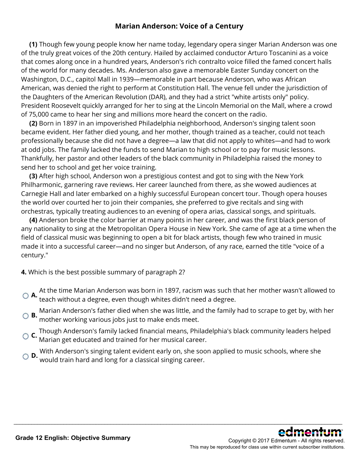### **Marian Anderson: Voice of a Century**

**(1)** Though few young people know her name today, legendary opera singer Marian Anderson was one of the truly great voices of the 20th century. Hailed by acclaimed conductor Arturo Toscanini as a voice that comes along once in a hundred years, Anderson's rich contralto voice filled the famed concert halls of the world for many decades. Ms. Anderson also gave a memorable Easter Sunday concert on the Washington, D.C., capitol Mall in 1939—memorable in part because Anderson, who was African American, was denied the right to perform at Constitution Hall. The venue fell under the jurisdiction of the Daughters of the American Revolution (DAR), and they had a strict "white artists only" policy. President Roosevelt quickly arranged for her to sing at the Lincoln Memorial on the Mall, where a crowd of 75,000 came to hear her sing and millions more heard the concert on the radio.

**(2)** Born in 1897 in an impoverished Philadelphia neighborhood, Anderson's singing talent soon became evident. Her father died young, and her mother, though trained as a teacher, could not teach professionally because she did not have a degree—a law that did not apply to whites—and had to work at odd jobs. The family lacked the funds to send Marian to high school or to pay for music lessons. Thankfully, her pastor and other leaders of the black community in Philadelphia raised the money to send her to school and get her voice training.

**(3)** After high school, Anderson won a prestigious contest and got to sing with the New York Philharmonic, garnering rave reviews. Her career launched from there, as she wowed audiences at Carnegie Hall and later embarked on a highly successful European concert tour. Though opera houses the world over courted her to join their companies, she preferred to give recitals and sing with orchestras, typically treating audiences to an evening of opera arias, classical songs, and spirituals.

**(4)** Anderson broke the color barrier at many points in her career, and was the first black person of any nationality to sing at the Metropolitan Opera House in New York. She came of age at a time when the field of classical music was beginning to open a bit for black artists, though few who trained in music made it into a successful career—and no singer but Anderson, of any race, earned the title "voice of a century."

**4.** Which is the best possible summary of paragraph 2?

- **A.** At the time Marian Anderson was born in 1897, racism was such that her mother wasn't allowed to teach without a degree, even though whites didn't need a degree.
- **B.** Marian Anderson's father died when she was little, and the family had to scrape to get by, with her mother working various jobs just to make ends meet.
- **C.** Though Anderson's family lacked financial means, Philadelphia's black community leaders helped Marian get educated and trained for her musical career.

\_\_\_\_\_\_\_\_\_\_\_\_\_\_\_\_\_\_\_\_\_\_\_\_\_\_\_\_\_\_\_\_\_\_\_\_\_\_\_\_\_\_\_\_\_\_\_\_\_\_\_\_\_\_\_\_\_\_\_\_\_\_\_\_\_\_\_\_\_\_\_\_\_\_\_\_\_\_\_\_\_\_\_\_\_\_\_\_\_\_\_\_\_\_\_\_\_\_\_\_\_\_\_\_\_\_\_\_\_\_\_\_

**D.** With Anderson's singing talent evident early on, she soon applied to music schools, where she would train hard and long for a classical singing career.

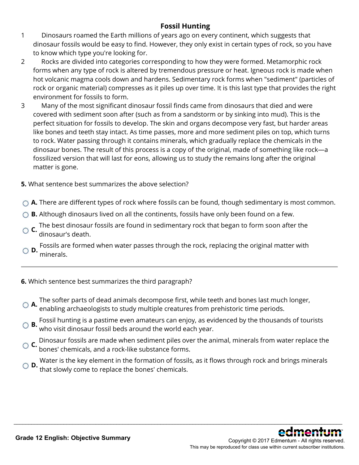## **Fossil Hunting**

- 1 Dinosaurs roamed the Earth millions of years ago on every continent, which suggests that dinosaur fossils would be easy to find. However, they only exist in certain types of rock, so you have to know which type you're looking for.
- 2 Rocks are divided into categories corresponding to how they were formed. Metamorphic rock forms when any type of rock is altered by tremendous pressure or heat. Igneous rock is made when hot volcanic magma cools down and hardens. Sedimentary rock forms when "sediment" (particles of rock or organic material) compresses as it piles up over time. It is this last type that provides the right environment for fossils to form.
- 3 Many of the most significant dinosaur fossil finds came from dinosaurs that died and were covered with sediment soon after (such as from a sandstorm or by sinking into mud). This is the perfect situation for fossils to develop. The skin and organs decompose very fast, but harder areas like bones and teeth stay intact. As time passes, more and more sediment piles on top, which turns to rock. Water passing through it contains minerals, which gradually replace the chemicals in the dinosaur bones. The result of this process is a copy of the original, made of something like rock—a fossilized version that will last for eons, allowing us to study the remains long after the original matter is gone.
- **5.** What sentence best summarizes the above selection?
- **A.** There are different types of rock where fossils can be found, though sedimentary is most common.
- ◯ **B.** Although dinosaurs lived on all the continents, fossils have only been found on a few.
- **C.** The best dinosaur fossils are found in sedimentary rock that began to form soon after the dinosaur's death.
- **D.** Fossils are formed when water passes through the rock, replacing the original matter with minerals.
- **6.** Which sentence best summarizes the third paragraph?
- **A.** The softer parts of dead animals decompose first, while teeth and bones last much longer, enabling archaeologists to study multiple creatures from prehistoric time periods.
- **B.** Fossil hunting is a pastime even amateurs can enjoy, as evidenced by the thousands of tourists who visit dinosaur fossil beds around the world each year.
- **C.** Dinosaur fossils are made when sediment piles over the animal, minerals from water replace the bones' chemicals, and a rock-like substance forms.
- **D.** Water is the key element in the formation of fossils, as it flows through rock and brings minerals **D.** that slowly come to replace the bones' chemicals.

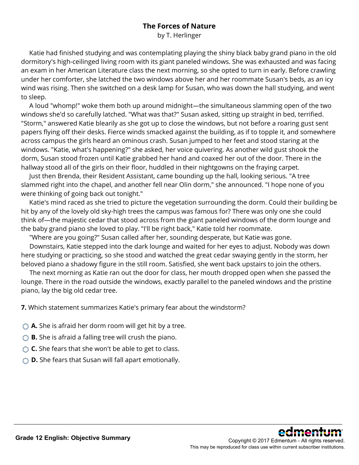## **The Forces of Nature**

by T. Herlinger

 Katie had finished studying and was contemplating playing the shiny black baby grand piano in the old dormitory's high-ceilinged living room with its giant paneled windows. She was exhausted and was facing an exam in her American Literature class the next morning, so she opted to turn in early. Before crawling under her comforter, she latched the two windows above her and her roommate Susan's beds, as an icy wind was rising. Then she switched on a desk lamp for Susan, who was down the hall studying, and went to sleep.

 A loud "whomp!" woke them both up around midnight—the simultaneous slamming open of the two windows she'd so carefully latched. "What was that?" Susan asked, sitting up straight in bed, terrified. "Storm," answered Katie blearily as she got up to close the windows, but not before a roaring gust sent papers flying off their desks. Fierce winds smacked against the building, as if to topple it, and somewhere across campus the girls heard an ominous crash. Susan jumped to her feet and stood staring at the windows. "Katie, what's happening?" she asked, her voice quivering. As another wild gust shook the dorm, Susan stood frozen until Katie grabbed her hand and coaxed her out of the door. There in the hallway stood all of the girls on their floor, huddled in their nightgowns on the fraying carpet.

 Just then Brenda, their Resident Assistant, came bounding up the hall, looking serious. "A tree slammed right into the chapel, and another fell near Olin dorm," she announced. "I hope none of you were thinking of going back out tonight."

 Katie's mind raced as she tried to picture the vegetation surrounding the dorm. Could their building be hit by any of the lovely old sky-high trees the campus was famous for? There was only one she could think of—the majestic cedar that stood across from the giant paneled windows of the dorm lounge and the baby grand piano she loved to play. "I'll be right back," Katie told her roommate.

"Where are you going?" Susan called after her, sounding desperate, but Katie was gone.

 Downstairs, Katie stepped into the dark lounge and waited for her eyes to adjust. Nobody was down here studying or practicing, so she stood and watched the great cedar swaying gently in the storm, her beloved piano a shadowy figure in the still room. Satisfied, she went back upstairs to join the others.

 The next morning as Katie ran out the door for class, her mouth dropped open when she passed the lounge. There in the road outside the windows, exactly parallel to the paneled windows and the pristine piano, lay the big old cedar tree.

\_\_\_\_\_\_\_\_\_\_\_\_\_\_\_\_\_\_\_\_\_\_\_\_\_\_\_\_\_\_\_\_\_\_\_\_\_\_\_\_\_\_\_\_\_\_\_\_\_\_\_\_\_\_\_\_\_\_\_\_\_\_\_\_\_\_\_\_\_\_\_\_\_\_\_\_\_\_\_\_\_\_\_\_\_\_\_\_\_\_\_\_\_\_\_\_\_\_\_\_\_\_\_\_\_\_\_\_\_\_\_\_

**7.** Which statement summarizes Katie's primary fear about the windstorm?

- ◯ **A.** She is afraid her dorm room will get hit by a tree.
- **B.** She is afraid a falling tree will crush the piano.
- ◯ **C.** She fears that she won't be able to get to class.
- **D.** She fears that Susan will fall apart emotionally.



Copyright © 2017 Edmentum - All rights reserved. This may be reproduced for class use within current subscriber institutions.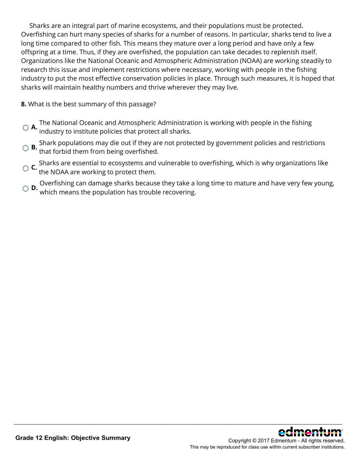Sharks are an integral part of marine ecosystems, and their populations must be protected. Overfishing can hurt many species of sharks for a number of reasons. In particular, sharks tend to live a long time compared to other fish. This means they mature over a long period and have only a few offspring at a time. Thus, if they are overfished, the population can take decades to replenish itself. Organizations like the National Oceanic and Atmospheric Administration (NOAA) are working steadily to research this issue and implement restrictions where necessary, working with people in the fishing industry to put the most effective conservation policies in place. Through such measures, it is hoped that sharks will maintain healthy numbers and thrive wherever they may live.

**8.** What is the best summary of this passage?

- **A.** The National Oceanic and Atmospheric Administration is working with people in the fishing industry to institute policies that protect all sharks.
- **B.** Shark populations may die out if they are not protected by government policies and restrictions that forbid them from being overfished.
- **C.** Sharks are essential to ecosystems and vulnerable to overfishing, which is why organizations like the NOAA are working to protect them.
- **D.** Overfishing can damage sharks because they take a long time to mature and have very few young, **D.** which means the population has trouble recovering.

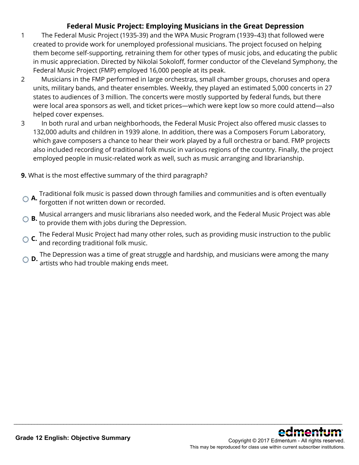## **Federal Music Project: Employing Musicians in the Great Depression**

- 1 The Federal Music Project (1935-39) and the WPA Music Program (1939–43) that followed were created to provide work for unemployed professional musicians. The project focused on helping them become self-supporting, retraining them for other types of music jobs, and educating the public in music appreciation. Directed by Nikolai Sokoloff, former conductor of the Cleveland Symphony, the Federal Music Project (FMP) employed 16,000 people at its peak.
- 2 Musicians in the FMP performed in large orchestras, small chamber groups, choruses and opera units, military bands, and theater ensembles. Weekly, they played an estimated 5,000 concerts in 27 states to audiences of 3 million. The concerts were mostly supported by federal funds, but there were local area sponsors as well, and ticket prices—which were kept low so more could attend—also helped cover expenses.
- 3 In both rural and urban neighborhoods, the Federal Music Project also offered music classes to 132,000 adults and children in 1939 alone. In addition, there was a Composers Forum Laboratory, which gave composers a chance to hear their work played by a full orchestra or band. FMP projects also included recording of traditional folk music in various regions of the country. Finally, the project employed people in music-related work as well, such as music arranging and librarianship.

#### **9.** What is the most effective summary of the third paragraph?

- **A.** Traditional folk music is passed down through families and communities and is often eventually forgotten if not written down or recorded.
- **B.** Musical arrangers and music librarians also needed work, and the Federal Music Project was able to provide them with jobs during the Depression.
- **C.** The Federal Music Project had many other roles, such as providing music instruction to the public and recording traditional folk music.
- **D.** The Depression was a time of great struggle and hardship, and musicians were among the many **D.**<br>**D.** artists who had trouble making ends meet.

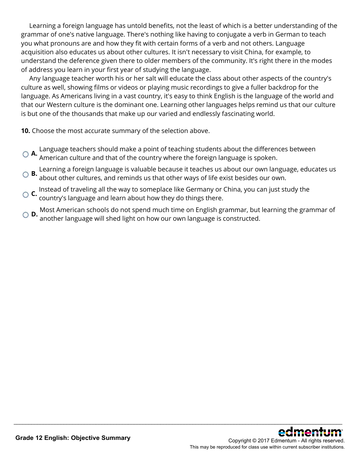Learning a foreign language has untold benefits, not the least of which is a better understanding of the grammar of one's native language. There's nothing like having to conjugate a verb in German to teach you what pronouns are and how they fit with certain forms of a verb and not others. Language acquisition also educates us about other cultures. It isn't necessary to visit China, for example, to understand the deference given there to older members of the community. It's right there in the modes of address you learn in your first year of studying the language.

 Any language teacher worth his or her salt will educate the class about other aspects of the country's culture as well, showing films or videos or playing music recordings to give a fuller backdrop for the language. As Americans living in a vast country, it's easy to think English is the language of the world and that our Western culture is the dominant one. Learning other languages helps remind us that our culture is but one of the thousands that make up our varied and endlessly fascinating world.

**10.** Choose the most accurate summary of the selection above.

- **A.** Language teachers should make a point of teaching students about the differences between American culture and that of the country where the foreign language is spoken.
- **B.** Learning a foreign language is valuable because it teaches us about our own language, educates us about other cultures, and reminds us that other ways of life exist besides our own.
- **C.** Instead of traveling all the way to someplace like Germany or China, you can just study the country's language and learn about how they do things there.
- **D.** Most American schools do not spend much time on English grammar, but learning the grammar of another language will shed light on how our own language is constructed.

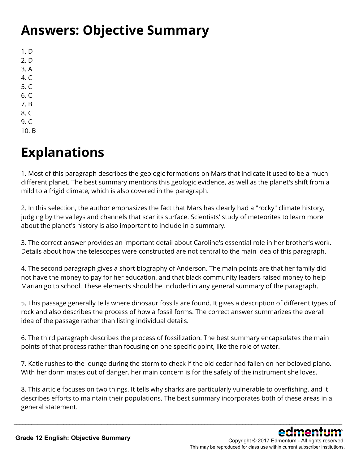## **Answers: Objective Summary**

1. D 2. D 3. A 4. C 5. C 6. C 7. B 8. C 9. C

10. B

# **Explanations**

1. Most of this paragraph describes the geologic formations on Mars that indicate it used to be a much different planet. The best summary mentions this geologic evidence, as well as the planet's shift from a mild to a frigid climate, which is also covered in the paragraph.

2. In this selection, the author emphasizes the fact that Mars has clearly had a "rocky" climate history, judging by the valleys and channels that scar its surface. Scientists' study of meteorites to learn more about the planet's history is also important to include in a summary.

3. The correct answer provides an important detail about Caroline's essential role in her brother's work. Details about how the telescopes were constructed are not central to the main idea of this paragraph.

4. The second paragraph gives a short biography of Anderson. The main points are that her family did not have the money to pay for her education, and that black community leaders raised money to help Marian go to school. These elements should be included in any general summary of the paragraph.

5. This passage generally tells where dinosaur fossils are found. It gives a description of different types of rock and also describes the process of how a fossil forms. The correct answer summarizes the overall idea of the passage rather than listing individual details.

6. The third paragraph describes the process of fossilization. The best summary encapsulates the main points of that process rather than focusing on one specific point, like the role of water.

7. Katie rushes to the lounge during the storm to check if the old cedar had fallen on her beloved piano. With her dorm mates out of danger, her main concern is for the safety of the instrument she loves.

8. This article focuses on two things. It tells why sharks are particularly vulnerable to overfishing, and it describes efforts to maintain their populations. The best summary incorporates both of these areas in a general statement.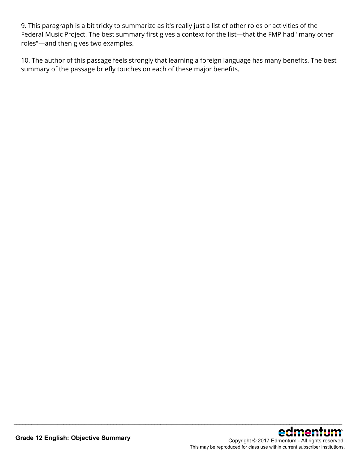9. This paragraph is a bit tricky to summarize as it's really just a list of other roles or activities of the Federal Music Project. The best summary first gives a context for the list—that the FMP had "many other roles"—and then gives two examples.

10. The author of this passage feels strongly that learning a foreign language has many benefits. The best summary of the passage briefly touches on each of these major benefits.

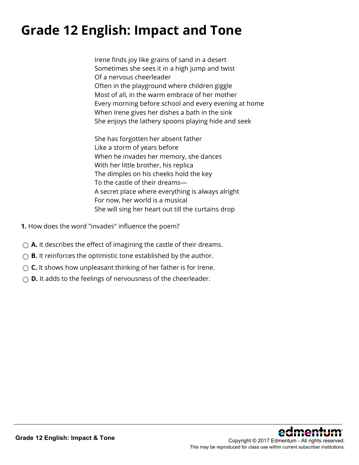# **Grade 12 English: Impact and Tone**

Irene finds joy like grains of sand in a desert Sometimes she sees it in a high jump and twist Of a nervous cheerleader Often in the playground where children giggle Most of all, in the warm embrace of her mother Every morning before school and every evening at home When Irene gives her dishes a bath in the sink She enjoys the lathery spoons playing hide and seek

She has forgotten her absent father Like a storm of years before When he invades her memory, she dances With her little brother, his replica The dimples on his cheeks hold the key To the castle of their dreams— A secret place where everything is always alright For now, her world is a musical She will sing her heart out till the curtains drop

- **1.** How does the word "invades" influence the poem?
- ◯ **A.** It describes the effect of imagining the castle of their dreams.
- **B.** It reinforces the optimistic tone established by the author.
- ◯ **C.** It shows how unpleasant thinking of her father is for Irene.
- **D.** It adds to the feelings of nervousness of the cheerleader.

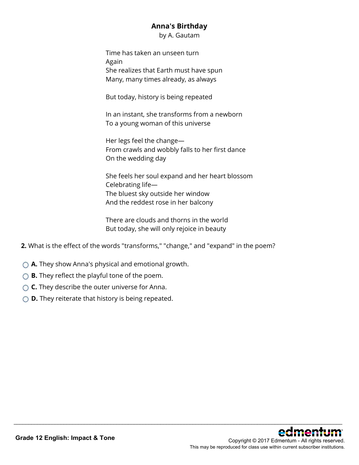### **Anna's Birthday**

by A. Gautam

Time has taken an unseen turn Again She realizes that Earth must have spun Many, many times already, as always

But today, history is being repeated

In an instant, she transforms from a newborn To a young woman of this universe

Her legs feel the change— From crawls and wobbly falls to her first dance On the wedding day

She feels her soul expand and her heart blossom Celebrating life— The bluest sky outside her window And the reddest rose in her balcony

\_\_\_\_\_\_\_\_\_\_\_\_\_\_\_\_\_\_\_\_\_\_\_\_\_\_\_\_\_\_\_\_\_\_\_\_\_\_\_\_\_\_\_\_\_\_\_\_\_\_\_\_\_\_\_\_\_\_\_\_\_\_\_\_\_\_\_\_\_\_\_\_\_\_\_\_\_\_\_\_\_\_\_\_\_\_\_\_\_\_\_\_\_\_\_\_\_\_\_\_\_\_\_\_\_\_\_\_\_\_\_\_

There are clouds and thorns in the world But today, she will only rejoice in beauty

- **2.** What is the effect of the words "transforms," "change," and "expand" in the poem?
- **A.** They show Anna's physical and emotional growth.
- **B.** They reflect the playful tone of the poem.
- **C.** They describe the outer universe for Anna.
- **D.** They reiterate that history is being repeated.

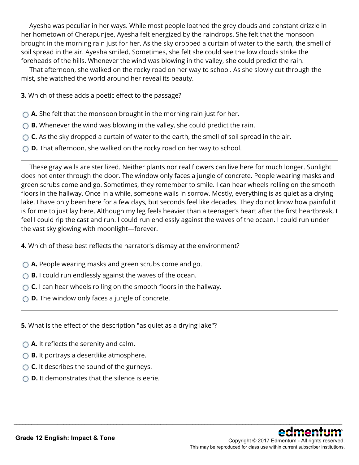Ayesha was peculiar in her ways. While most people loathed the grey clouds and constant drizzle in her hometown of Cherapunjee, Ayesha felt energized by the raindrops. She felt that the monsoon brought in the morning rain just for her. As the sky dropped a curtain of water to the earth, the smell of soil spread in the air. Ayesha smiled. Sometimes, she felt she could see the low clouds strike the foreheads of the hills. Whenever the wind was blowing in the valley, she could predict the rain.

 That afternoon, she walked on the rocky road on her way to school. As she slowly cut through the mist, she watched the world around her reveal its beauty.

**3.** Which of these adds a poetic effect to the passage?

- **A.** She felt that the monsoon brought in the morning rain just for her.
- **B.** Whenever the wind was blowing in the valley, she could predict the rain.
- **C.** As the sky dropped a curtain of water to the earth, the smell of soil spread in the air.
- **D.** That afternoon, she walked on the rocky road on her way to school.

 These gray walls are sterilized. Neither plants nor real flowers can live here for much longer. Sunlight does not enter through the door. The window only faces a jungle of concrete. People wearing masks and green scrubs come and go. Sometimes, they remember to smile. I can hear wheels rolling on the smooth floors in the hallway. Once in a while, someone wails in sorrow. Mostly, everything is as quiet as a drying lake. I have only been here for a few days, but seconds feel like decades. They do not know how painful it is for me to just lay here. Although my leg feels heavier than a teenager's heart after the first heartbreak, I feel I could rip the cast and run. I could run endlessly against the waves of the ocean. I could run under the vast sky glowing with moonlight—forever.

\_\_\_\_\_\_\_\_\_\_\_\_\_\_\_\_\_\_\_\_\_\_\_\_\_\_\_\_\_\_\_\_\_\_\_\_\_\_\_\_\_\_\_\_\_\_\_\_\_\_\_\_\_\_\_\_\_\_\_\_\_\_\_\_\_\_\_\_\_\_\_\_\_\_\_\_\_\_\_\_\_\_\_\_\_\_\_\_\_\_\_\_\_\_\_\_\_\_\_\_\_\_\_\_\_\_\_\_\_\_\_\_

- **4.** Which of these best reflects the narrator's dismay at the environment?
- **A.** People wearing masks and green scrubs come and go.
- **B.** I could run endlessly against the waves of the ocean.
- **C.** I can hear wheels rolling on the smooth floors in the hallway.
- **D.** The window only faces a jungle of concrete.

**5.** What is the effect of the description "as quiet as a drying lake"?

- **A.** It reflects the serenity and calm.
- **B.** It portrays a desertlike atmosphere.
- **C.** It describes the sound of the gurneys.
- **D.** It demonstrates that the silence is eerie.

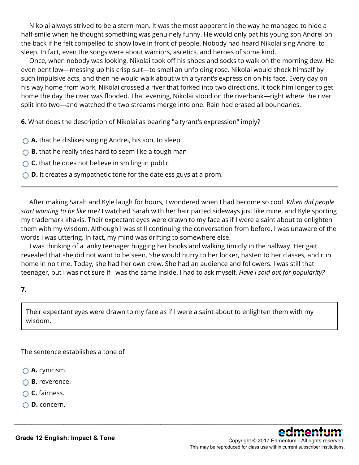Nikolai always strived to be a stern man. It was the most apparent in the way he managed to hide a half-smile when he thought something was genuinely funny. He would only pat his young son Andrei on the back if he felt compelled to show love in front of people. Nobody had heard Nikolai sing Andrei to sleep. In fact, even the songs were about warriors, ascetics, and heroes of some kind.

 Once, when nobody was looking, Nikolai took off his shoes and socks to walk on the morning dew. He even bent low—messing up his crisp suit—to smell an unfolding rose. Nikolai would shock himself by such impulsive acts, and then he would walk about with a tyrant's expression on his face. Every day on his way home from work, Nikolai crossed a river that forked into two directions. It took him longer to get home the day the river was flooded. That evening, Nikolai stood on the riverbank—right where the river split into two—and watched the two streams merge into one. Rain had erased all boundaries.

**6.** What does the description of Nikolai as bearing "a tyrant's expression" imply?

- **A.** that he dislikes singing Andrei, his son, to sleep
- ◯ **B.** that he really tries hard to seem like a tough man
- ◯ **C.** that he does not believe in smiling in public
- **D.** It creates a sympathetic tone for the dateless guys at a prom.

 After making Sarah and Kyle laugh for hours, I wondered when I had become so cool. *When did people start wanting to be like* me? I watched Sarah with her hair parted sideways just like mine, and Kyle sporting my trademark khakis. Their expectant eyes were drawn to my face as if I were a saint about to enlighten them with my wisdom. Although I was still continuing the conversation from before, I was unaware of the words I was uttering. In fact, my mind was drifting to somewhere else.

 I was thinking of a lanky teenager hugging her books and walking timidly in the hallway. Her gait revealed that she did not want to be seen. She would hurry to her locker, hasten to her classes, and run home in no time. Today, she had her own crew. She had an audience and followers. I was still that teenager, but I was not sure if I was the same inside. I had to ask myself, *Have I sold out for popularity?*

#### **7.**

Their expectant eyes were drawn to my face as if I were a saint about to enlighten them with my wisdom.

\_\_\_\_\_\_\_\_\_\_\_\_\_\_\_\_\_\_\_\_\_\_\_\_\_\_\_\_\_\_\_\_\_\_\_\_\_\_\_\_\_\_\_\_\_\_\_\_\_\_\_\_\_\_\_\_\_\_\_\_\_\_\_\_\_\_\_\_\_\_\_\_\_\_\_\_\_\_\_\_\_\_\_\_\_\_\_\_\_\_\_\_\_\_\_\_\_\_\_\_\_\_\_\_\_\_\_\_\_\_\_\_

The sentence establishes a tone of

- **A.** cynicism.
- **B.** reverence.
- **C.** fairness.
- **D.** concern.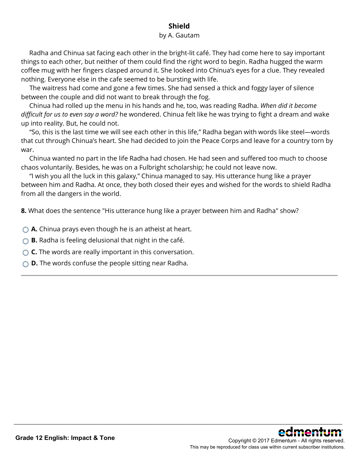## **Shield**

#### by A. Gautam

 Radha and Chinua sat facing each other in the bright-lit café. They had come here to say important things to each other, but neither of them could find the right word to begin. Radha hugged the warm coffee mug with her fingers clasped around it. She looked into Chinua's eyes for a clue. They revealed nothing. Everyone else in the cafe seemed to be bursting with life.

 The waitress had come and gone a few times. She had sensed a thick and foggy layer of silence between the couple and did not want to break through the fog.

 Chinua had rolled up the menu in his hands and he, too, was reading Radha. *When did it become difficult for us to even say a word?* he wondered. Chinua felt like he was trying to fight a dream and wake up into reality. But, he could not.

 "So, this is the last time we will see each other in this life," Radha began with words like steel—words that cut through Chinua's heart. She had decided to join the Peace Corps and leave for a country torn by war.

 Chinua wanted no part in the life Radha had chosen. He had seen and suffered too much to choose chaos voluntarily. Besides, he was on a Fulbright scholarship; he could not leave now.

 "I wish you all the luck in this galaxy," Chinua managed to say. His utterance hung like a prayer between him and Radha. At once, they both closed their eyes and wished for the words to shield Radha from all the dangers in the world.

\_\_\_\_\_\_\_\_\_\_\_\_\_\_\_\_\_\_\_\_\_\_\_\_\_\_\_\_\_\_\_\_\_\_\_\_\_\_\_\_\_\_\_\_\_\_\_\_\_\_\_\_\_\_\_\_\_\_\_\_\_\_\_\_\_\_\_\_\_\_\_\_\_\_\_\_\_\_\_\_\_\_\_\_\_\_\_\_\_\_\_\_\_\_\_\_\_\_\_\_\_\_\_\_\_\_\_\_\_\_\_\_

**8.** What does the sentence "His utterance hung like a prayer between him and Radha" show?

- **A.** Chinua prays even though he is an atheist at heart.
- **B.** Radha is feeling delusional that night in the café.
- **C.** The words are really important in this conversation.
- **D.** The words confuse the people sitting near Radha.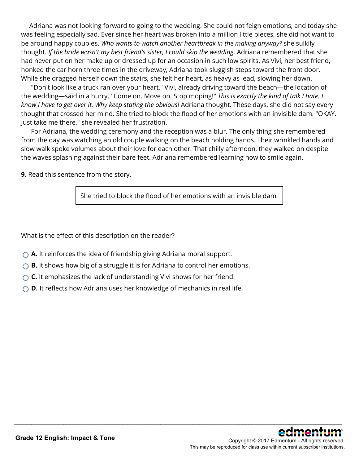Adriana was not looking forward to going to the wedding. She could not feign emotions, and today she was feeling especially sad. Ever since her heart was broken into a million little pieces, she did not want to be around happy couples. *Who wants to watch another heartbreak in the making anyway?* she sulkily thought. *If the bride wasn't my best friend's sister, I could skip the wedding.* Adriana remembered that she had never put on her make up or dressed up for an occasion in such low spirits. As Vivi, her best friend, honked the car horn three times in the driveway, Adriana took sluggish steps toward the front door. While she dragged herself down the stairs, she felt her heart, as heavy as lead, slowing her down.

 "Don't look like a truck ran over your heart," Vivi, already driving toward the beach—the location of the wedding—said in a hurry. "Come on. Move on. Stop moping!" *This is exactly the kind of talk I hate. I know I have to get over it. Why keep stating the obvious!* Adriana thought. These days, she did not say every thought that crossed her mind. She tried to block the flood of her emotions with an invisible dam. "OKAY. Just take me there," she revealed her frustration.

 For Adriana, the wedding ceremony and the reception was a blur. The only thing she remembered from the day was watching an old couple walking on the beach holding hands. Their wrinkled hands and slow walk spoke volumes about their love for each other. That chilly afternoon, they walked on despite the waves splashing against their bare feet. Adriana remembered learning how to smile again.

**9.** Read this sentence from the story.

She tried to block the flood of her emotions with an invisible dam.

\_\_\_\_\_\_\_\_\_\_\_\_\_\_\_\_\_\_\_\_\_\_\_\_\_\_\_\_\_\_\_\_\_\_\_\_\_\_\_\_\_\_\_\_\_\_\_\_\_\_\_\_\_\_\_\_\_\_\_\_\_\_\_\_\_\_\_\_\_\_\_\_\_\_\_\_\_\_\_\_\_\_\_\_\_\_\_\_\_\_\_\_\_\_\_\_\_\_\_\_\_\_\_\_\_\_\_\_\_\_\_\_

What is the effect of this description on the reader?

- **A.** It reinforces the idea of friendship giving Adriana moral support.
- **B.** It shows how big of a struggle it is for Adriana to control her emotions.
- ◯ **C.** It emphasizes the lack of understanding Vivi shows for her friend.
- **D.** It reflects how Adriana uses her knowledge of mechanics in real life.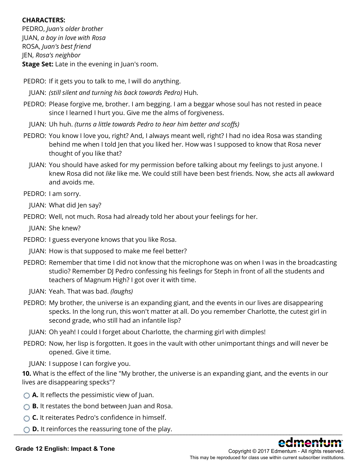#### **CHARACTERS:**

PEDRO, *Juan's older brother* JUAN, *a boy in love with Rosa* ROSA, *Juan's best friend* JEN, *Rosa's neighbor* **Stage Set:** Late in the evening in Juan's room.

- PEDRO: If it gets you to talk to me, I will do anything.
- JUAN: *(still silent and turning his back towards Pedro)* Huh.
- PEDRO: Please forgive me, brother. I am begging. I am a beggar whose soul has not rested in peace since I learned I hurt you. Give me the alms of forgiveness.
	- JUAN: Uh huh. *(turns a little towards Pedro to hear him better and scoffs)*
- PEDRO: You know I love you, right? And, I always meant well, right? I had no idea Rosa was standing behind me when I told Jen that you liked her. How was I supposed to know that Rosa never thought of you like that?
	- JUAN: You should have asked for my permission before talking about my feelings to just anyone. I knew Rosa did not *like* like me. We could still have been best friends. Now, she acts all awkward and avoids me.
- PEDRO: I am sorry.
	- JUAN: What did Jen say?
- PEDRO: Well, not much. Rosa had already told her about your feelings for her.
	- JUAN: She knew?
- PEDRO: I guess everyone knows that you like Rosa.
	- JUAN: How is that supposed to make me feel better?
- PEDRO: Remember that time I did not know that the microphone was on when I was in the broadcasting studio? Remember DJ Pedro confessing his feelings for Steph in front of all the students and teachers of Magnum High? I got over it with time.
	- JUAN: Yeah. That was bad. *(laughs)*
- PEDRO: My brother, the universe is an expanding giant, and the events in our lives are disappearing specks. In the long run, this won't matter at all. Do you remember Charlotte, the cutest girl in second grade, who still had an infantile lisp?
	- JUAN: Oh yeah! I could I forget about Charlotte, the charming girl with dimples!
- PEDRO: Now, her lisp is forgotten. It goes in the vault with other unimportant things and will never be opened. Give it time.

JUAN: I suppose I can forgive you.

**10.** What is the effect of the line "My brother, the universe is an expanding giant, and the events in our lives are disappearing specks"?

- **A.** It reflects the pessimistic view of Juan.
- **B.** It restates the bond between Juan and Rosa.
- **C.** It reiterates Pedro's confidence in himself.
- $\bigcirc$  **D.** It reinforces the reassuring tone of the play.

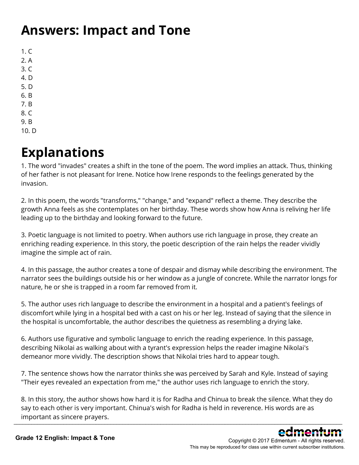## **Answers: Impact and Tone**

 $1. C$ 2. A 3. C 4. D 5. D 6. B 7. B 8. C

- 9. B
- 10. D

## **Explanations**

1. The word "invades" creates a shift in the tone of the poem. The word implies an attack. Thus, thinking of her father is not pleasant for Irene. Notice how Irene responds to the feelings generated by the invasion.

2. In this poem, the words "transforms," "change," and "expand" reflect a theme. They describe the growth Anna feels as she contemplates on her birthday. These words show how Anna is reliving her life leading up to the birthday and looking forward to the future.

3. Poetic language is not limited to poetry. When authors use rich language in prose, they create an enriching reading experience. In this story, the poetic description of the rain helps the reader vividly imagine the simple act of rain.

4. In this passage, the author creates a tone of despair and dismay while describing the environment. The narrator sees the buildings outside his or her window as a jungle of concrete. While the narrator longs for nature, he or she is trapped in a room far removed from it.

5. The author uses rich language to describe the environment in a hospital and a patient's feelings of discomfort while lying in a hospital bed with a cast on his or her leg. Instead of saying that the silence in the hospital is uncomfortable, the author describes the quietness as resembling a drying lake.

6. Authors use figurative and symbolic language to enrich the reading experience. In this passage, describing Nikolai as walking about with a tyrant's expression helps the reader imagine Nikolai's demeanor more vividly. The description shows that Nikolai tries hard to appear tough.

7. The sentence shows how the narrator thinks she was perceived by Sarah and Kyle. Instead of saying "Their eyes revealed an expectation from me," the author uses rich language to enrich the story.

8. In this story, the author shows how hard it is for Radha and Chinua to break the silence. What they do say to each other is very important. Chinua's wish for Radha is held in reverence. His words are as important as sincere prayers. \_\_\_\_\_\_\_\_\_\_\_\_\_\_\_\_\_\_\_\_\_\_\_\_\_\_\_\_\_\_\_\_\_\_\_\_\_\_\_\_\_\_\_\_\_\_\_\_\_\_\_\_\_\_\_\_\_\_\_\_\_\_\_\_\_\_\_\_\_\_\_\_\_\_\_\_\_\_\_\_\_\_\_\_\_\_\_\_\_\_\_\_\_\_\_\_\_\_\_\_\_\_\_\_\_\_\_\_\_\_\_\_

> Copyright © 2017 Edmentum - All rights reserved. This may be reproduced for class use within current subscriber institutions.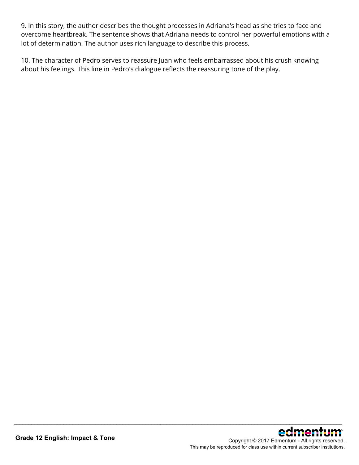9. In this story, the author describes the thought processes in Adriana's head as she tries to face and overcome heartbreak. The sentence shows that Adriana needs to control her powerful emotions with a lot of determination. The author uses rich language to describe this process.

10. The character of Pedro serves to reassure Juan who feels embarrassed about his crush knowing about his feelings. This line in Pedro's dialogue reflects the reassuring tone of the play.

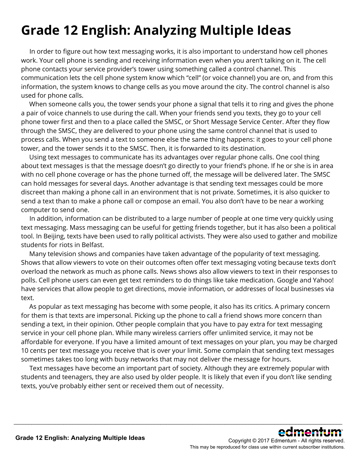# **Grade 12 English: Analyzing Multiple Ideas**

 In order to figure out how text messaging works, it is also important to understand how cell phones work. Your cell phone is sending and receiving information even when you aren't talking on it. The cell phone contacts your service provider's tower using something called a control channel. This communication lets the cell phone system know which "cell" (or voice channel) you are on, and from this information, the system knows to change cells as you move around the city. The control channel is also used for phone calls.

 When someone calls you, the tower sends your phone a signal that tells it to ring and gives the phone a pair of voice channels to use during the call. When your friends send you texts, they go to your cell phone tower first and then to a place called the SMSC, or Short Message Service Center. After they flow through the SMSC, they are delivered to your phone using the same control channel that is used to process calls. When you send a text to someone else the same thing happens: it goes to your cell phone tower, and the tower sends it to the SMSC. Then, it is forwarded to its destination.

 Using text messages to communicate has its advantages over regular phone calls. One cool thing about text messages is that the message doesn't go directly to your friend's phone. If he or she is in area with no cell phone coverage or has the phone turned off, the message will be delivered later. The SMSC can hold messages for several days. Another advantage is that sending text messages could be more discreet than making a phone call in an environment that is not private. Sometimes, it is also quicker to send a text than to make a phone call or compose an email. You also don't have to be near a working computer to send one.

 In addition, information can be distributed to a large number of people at one time very quickly using text messaging. Mass messaging can be useful for getting friends together, but it has also been a political tool. In Beijing, texts have been used to rally political activists. They were also used to gather and mobilize students for riots in Belfast.

 Many television shows and companies have taken advantage of the popularity of text messaging. Shows that allow viewers to vote on their outcomes often offer text messaging voting because texts don't overload the network as much as phone calls. News shows also allow viewers to text in their responses to polls. Cell phone users can even get text reminders to do things like take medication. Google and Yahoo! have services that allow people to get directions, movie information, or addresses of local businesses via text.

 As popular as text messaging has become with some people, it also has its critics. A primary concern for them is that texts are impersonal. Picking up the phone to call a friend shows more concern than sending a text, in their opinion. Other people complain that you have to pay extra for text messaging service in your cell phone plan. While many wireless carriers offer unlimited service, it may not be affordable for everyone. If you have a limited amount of text messages on your plan, you may be charged 10 cents per text message you receive that is over your limit. Some complain that sending text messages sometimes takes too long with busy networks that may not deliver the message for hours.

 Text messages have become an important part of society. Although they are extremely popular with students and teenagers, they are also used by older people. It is likely that even if you don't like sending texts, you've probably either sent or received them out of necessity.

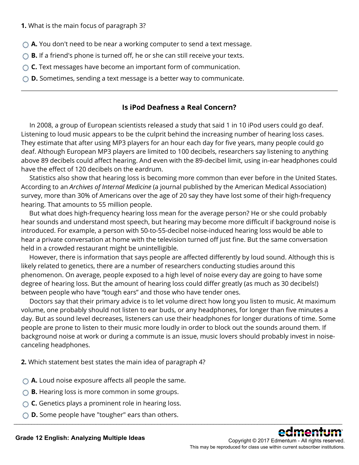- ◯ **A.** You don't need to be near a working computer to send a text message.
- **B.** If a friend's phone is turned off, he or she can still receive your texts.
- **C.** Text messages have become an important form of communication.
- **D.** Sometimes, sending a text message is a better way to communicate.

### **Is iPod Deafness a Real Concern?**

 In 2008, a group of European scientists released a study that said 1 in 10 iPod users could go deaf. Listening to loud music appears to be the culprit behind the increasing number of hearing loss cases. They estimate that after using MP3 players for an hour each day for five years, many people could go deaf. Although European MP3 players are limited to 100 decibels, researchers say listening to anything above 89 decibels could affect hearing. And even with the 89-decibel limit, using in-ear headphones could have the effect of 120 decibels on the eardrum.

 Statistics also show that hearing loss is becoming more common than ever before in the United States. According to an *Archives of Internal Medicine* (a journal published by the American Medical Association) survey, more than 30% of Americans over the age of 20 say they have lost some of their high-frequency hearing. That amounts to 55 million people.

 But what does high-frequency hearing loss mean for the average person? He or she could probably hear sounds and understand most speech, but hearing may become more difficult if background noise is introduced. For example, a person with 50-to-55-decibel noise-induced hearing loss would be able to hear a private conversation at home with the television turned off just fine. But the same conversation held in a crowded restaurant might be unintelligible.

 However, there is information that says people are affected differently by loud sound. Although this is likely related to genetics, there are a number of researchers conducting studies around this phenomenon. On average, people exposed to a high level of noise every day are going to have some degree of hearing loss. But the amount of hearing loss could differ greatly (as much as 30 decibels!) between people who have "tough ears" and those who have tender ones.

 Doctors say that their primary advice is to let volume direct how long you listen to music. At maximum volume, one probably should not listen to ear buds, or any headphones, for longer than five minutes a day. But as sound level decreases, listeners can use their headphones for longer durations of time. Some people are prone to listen to their music more loudly in order to block out the sounds around them. If background noise at work or during a commute is an issue, music lovers should probably invest in noisecanceling headphones.

\_\_\_\_\_\_\_\_\_\_\_\_\_\_\_\_\_\_\_\_\_\_\_\_\_\_\_\_\_\_\_\_\_\_\_\_\_\_\_\_\_\_\_\_\_\_\_\_\_\_\_\_\_\_\_\_\_\_\_\_\_\_\_\_\_\_\_\_\_\_\_\_\_\_\_\_\_\_\_\_\_\_\_\_\_\_\_\_\_\_\_\_\_\_\_\_\_\_\_\_\_\_\_\_\_\_\_\_\_\_\_\_

**2.** Which statement best states the main idea of paragraph 4?

- **A.** Loud noise exposure affects all people the same.
- **B.** Hearing loss is more common in some groups.
- **C.** Genetics plays a prominent role in hearing loss.
- **D.** Some people have "tougher" ears than others.



Copyright © 2017 Edmentum - All rights reserved. This may be reproduced for class use within current subscriber institutions.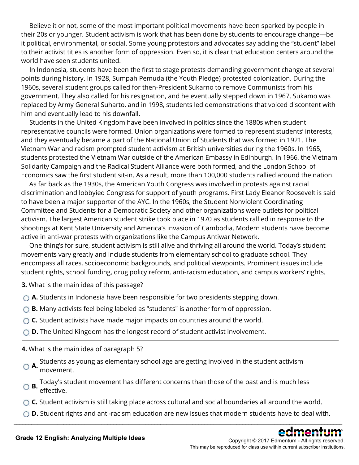Believe it or not, some of the most important political movements have been sparked by people in their 20s or younger. Student activism is work that has been done by students to encourage change—be it political, environmental, or social. Some young protestors and advocates say adding the "student" label to their activist titles is another form of oppression. Even so, it is clear that education centers around the world have seen students united.

 In Indonesia, students have been the first to stage protests demanding government change at several points during history. In 1928, Sumpah Pemuda (the Youth Pledge) protested colonization. During the 1960s, several student groups called for then-President Sukarno to remove Communists from his government. They also called for his resignation, and he eventually stepped down in 1967. Sukamo was replaced by Army General Suharto, and in 1998, students led demonstrations that voiced discontent with him and eventually lead to his downfall.

 Students in the United Kingdom have been involved in politics since the 1880s when student representative councils were formed. Union organizations were formed to represent students' interests, and they eventually became a part of the National Union of Students that was formed in 1921. The Vietnam War and racism prompted student activism at British universities during the 1960s. In 1965, students protested the Vietnam War outside of the American Embassy in Edinburgh. In 1966, the Vietnam Solidarity Campaign and the Radical Student Alliance were both formed, and the London School of Economics saw the first student sit-in. As a result, more than 100,000 students rallied around the nation.

 As far back as the 1930s, the American Youth Congress was involved in protests against racial discrimination and lobbyied Congress for support of youth programs. First Lady Eleanor Roosevelt is said to have been a major supporter of the AYC. In the 1960s, the Student Nonviolent Coordinating Committee and Students for a Democratic Society and other organizations were outlets for political activism. The largest American student strike took place in 1970 as students rallied in response to the shootings at Kent State University and America's invasion of Cambodia. Modern students have become active in anti-war protests with organizations like the Campus Antiwar Network.

 One thing's for sure, student activism is still alive and thriving all around the world. Today's student movements vary greatly and include students from elementary school to graduate school. They encompass all races, socioeconomic backgrounds, and political viewpoints. Prominent issues include student rights, school funding, drug policy reform, anti-racism education, and campus workers' rights.

**3.** What is the main idea of this passage?

- **A.** Students in Indonesia have been responsible for two presidents stepping down.
- ◯ **B.** Many activists feel being labeled as "students" is another form of oppression.
- ◯ **C.** Student activists have made major impacts on countries around the world.
- **D.** The United Kingdom has the longest record of student activist involvement.

**4.** What is the main idea of paragraph 5?

- **A.** Students as young as elementary school age are getting involved in the student activism movement.
- **B.** Today's student movement has different concerns than those of the past and is much less effective.
- ◯ **C.** Student activism is still taking place across cultural and social boundaries all around the world.
- ◯ **D.** Student rights and anti-racism education are new issues that modern students have to deal with. \_\_\_\_\_\_\_\_\_\_\_\_\_\_\_\_\_\_\_\_\_\_\_\_\_\_\_\_\_\_\_\_\_\_\_\_\_\_\_\_\_\_\_\_\_\_\_\_\_\_\_\_\_\_\_\_\_\_\_\_\_\_\_\_\_\_\_\_\_\_\_\_\_\_\_\_\_\_\_\_\_\_\_\_\_\_\_\_\_\_\_\_\_\_\_\_\_\_\_\_\_\_\_\_\_\_\_\_\_\_\_\_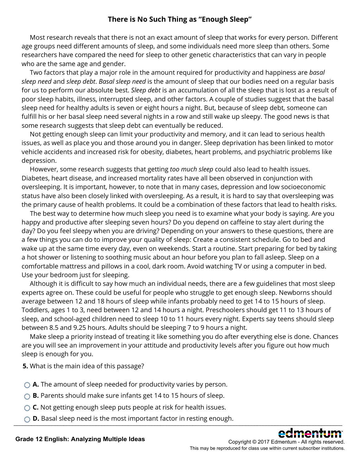### **There is No Such Thing as "Enough Sleep"**

 Most research reveals that there is not an exact amount of sleep that works for every person. Different age groups need different amounts of sleep, and some individuals need more sleep than others. Some researchers have compared the need for sleep to other genetic characteristics that can vary in people who are the same age and gender.

 Two factors that play a major role in the amount required for productivity and happiness are *basal sleep need* and *sleep debt*. *Basal sleep need* is the amount of sleep that our bodies need on a regular basis for us to perform our absolute best. *Sleep debt* is an accumulation of all the sleep that is lost as a result of poor sleep habits, illness, interrupted sleep, and other factors. A couple of studies suggest that the basal sleep need for healthy adults is seven or eight hours a night. But, because of sleep debt, someone can fulfill his or her basal sleep need several nights in a row and still wake up sleepy. The good news is that some research suggests that sleep debt can eventually be reduced.

 Not getting enough sleep can limit your productivity and memory, and it can lead to serious health issues, as well as place you and those around you in danger. Sleep deprivation has been linked to motor vehicle accidents and increased risk for obesity, diabetes, heart problems, and psychiatric problems like depression.

 However, some research suggests that getting *too much sleep* could also lead to health issues. Diabetes, heart disease, and increased mortality rates have all been observed in conjunction with oversleeping. It is important, however, to note that in many cases, depression and low socioeconomic status have also been closely linked with oversleeping. As a result, it is hard to say that oversleeping was the primary cause of health problems. It could be a combination of these factors that lead to health risks.

 The best way to determine how much sleep you need is to examine what your body is saying. Are you happy and productive after sleeping seven hours? Do you depend on caffeine to stay alert during the day? Do you feel sleepy when you are driving? Depending on your answers to these questions, there are a few things you can do to improve your quality of sleep: Create a consistent schedule. Go to bed and wake up at the same time every day, even on weekends. Start a routine. Start preparing for bed by taking a hot shower or listening to soothing music about an hour before you plan to fall asleep. Sleep on a comfortable mattress and pillows in a cool, dark room. Avoid watching TV or using a computer in bed. Use your bedroom just for sleeping.

 Although it is difficult to say how much an individual needs, there are a few guidelines that most sleep experts agree on. These could be useful for people who struggle to get enough sleep. Newborns should average between 12 and 18 hours of sleep while infants probably need to get 14 to 15 hours of sleep. Toddlers, ages 1 to 3, need between 12 and 14 hours a night. Preschoolers should get 11 to 13 hours of sleep, and school-aged children need to sleep 10 to 11 hours every night. Experts say teens should sleep between 8.5 and 9.25 hours. Adults should be sleeping 7 to 9 hours a night.

 Make sleep a priority instead of treating it like something you do after everything else is done. Chances are you will see an improvement in your attitude and productivity levels after you figure out how much sleep is enough for you.

**5.** What is the main idea of this passage?

- **A.** The amount of sleep needed for productivity varies by person.
- ◯ **B.** Parents should make sure infants get 14 to 15 hours of sleep.
- ◯ **C.** Not getting enough sleep puts people at risk for health issues.
- $\bigcirc$  **D.** Basal sleep need is the most important factor in resting enough.

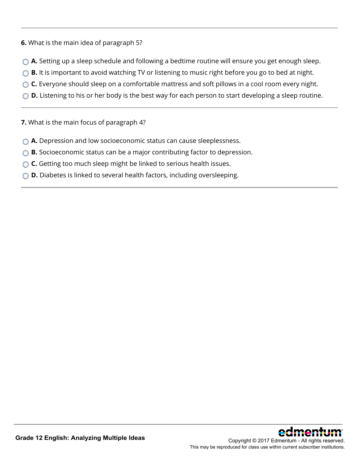- **6.** What is the main idea of paragraph 5?
- ◯ **A.** Setting up a sleep schedule and following a bedtime routine will ensure you get enough sleep.
- **B.** It is important to avoid watching TV or listening to music right before you go to bed at night.
- ◯ **C.** Everyone should sleep on a comfortable mattress and soft pillows in a cool room every night.
- **D.** Listening to his or her body is the best way for each person to start developing a sleep routine.

\_\_\_\_\_\_\_\_\_\_\_\_\_\_\_\_\_\_\_\_\_\_\_\_\_\_\_\_\_\_\_\_\_\_\_\_\_\_\_\_\_\_\_\_\_\_\_\_\_\_\_\_\_\_\_\_\_\_\_\_\_\_\_\_\_\_\_\_\_\_\_\_\_\_\_\_\_\_\_\_\_\_\_\_\_\_\_\_\_\_\_\_\_\_\_\_\_\_\_\_\_\_\_\_\_\_\_\_\_\_\_\_

**7.** What is the main focus of paragraph 4?

- **A.** Depression and low socioeconomic status can cause sleeplessness.
- **B.** Socioeconomic status can be a major contributing factor to depression.
- ◯ **C.** Getting too much sleep might be linked to serious health issues.
- **D.** Diabetes is linked to several health factors, including oversleeping.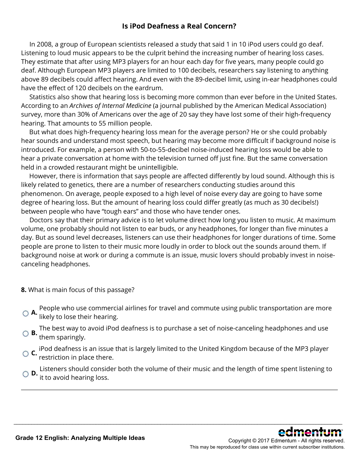### **Is iPod Deafness a Real Concern?**

 In 2008, a group of European scientists released a study that said 1 in 10 iPod users could go deaf. Listening to loud music appears to be the culprit behind the increasing number of hearing loss cases. They estimate that after using MP3 players for an hour each day for five years, many people could go deaf. Although European MP3 players are limited to 100 decibels, researchers say listening to anything above 89 decibels could affect hearing. And even with the 89-decibel limit, using in-ear headphones could have the effect of 120 decibels on the eardrum.

 Statistics also show that hearing loss is becoming more common than ever before in the United States. According to an *Archives of Internal Medicine* (a journal published by the American Medical Association) survey, more than 30% of Americans over the age of 20 say they have lost some of their high-frequency hearing. That amounts to 55 million people.

 But what does high-frequency hearing loss mean for the average person? He or she could probably hear sounds and understand most speech, but hearing may become more difficult if background noise is introduced. For example, a person with 50-to-55-decibel noise-induced hearing loss would be able to hear a private conversation at home with the television turned off just fine. But the same conversation held in a crowded restaurant might be unintelligible.

 However, there is information that says people are affected differently by loud sound. Although this is likely related to genetics, there are a number of researchers conducting studies around this phenomenon. On average, people exposed to a high level of noise every day are going to have some degree of hearing loss. But the amount of hearing loss could differ greatly (as much as 30 decibels!) between people who have "tough ears" and those who have tender ones.

 Doctors say that their primary advice is to let volume direct how long you listen to music. At maximum volume, one probably should not listen to ear buds, or any headphones, for longer than five minutes a day. But as sound level decreases, listeners can use their headphones for longer durations of time. Some people are prone to listen to their music more loudly in order to block out the sounds around them. If background noise at work or during a commute is an issue, music lovers should probably invest in noisecanceling headphones.

- **8.** What is main focus of this passage?
- **A.** People who use commercial airlines for travel and commute using public transportation are more  $\bigcirc$  **A.** likely to lose their hearing.
- **B.** The best way to avoid iPod deafness is to purchase a set of noise-canceling headphones and use them sparingly.
- **C.** iPod deafness is an issue that is largely limited to the United Kingdom because of the MP3 player restriction in place there.

**D.** Listeners should consider both the volume of their music and the length of time spent listening to **D.** it to avoid hearing to

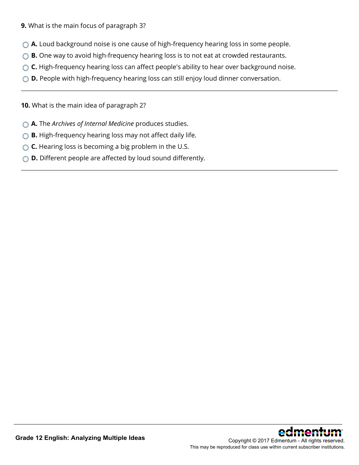- **9.** What is the main focus of paragraph 3?
- **A.** Loud background noise is one cause of high-frequency hearing loss in some people.
- **B.** One way to avoid high-frequency hearing loss is to not eat at crowded restaurants.
- ◯ **C.** High-frequency hearing loss can affect people's ability to hear over background noise.

\_\_\_\_\_\_\_\_\_\_\_\_\_\_\_\_\_\_\_\_\_\_\_\_\_\_\_\_\_\_\_\_\_\_\_\_\_\_\_\_\_\_\_\_\_\_\_\_\_\_\_\_\_\_\_\_\_\_\_\_\_\_\_\_\_\_\_\_\_\_\_\_\_\_\_\_\_\_\_\_\_\_\_\_\_\_\_\_\_\_\_\_\_\_\_\_\_\_\_\_\_\_\_\_\_\_\_\_\_\_\_\_

◯ **D.** People with high-frequency hearing loss can still enjoy loud dinner conversation.

**10.** What is the main idea of paragraph 2?

- **A.** The *Archives of Internal Medicine* produces studies.
- **B.** High-frequency hearing loss may not affect daily life.
- **C.** Hearing loss is becoming a big problem in the U.S.
- **D.** Different people are affected by loud sound differently.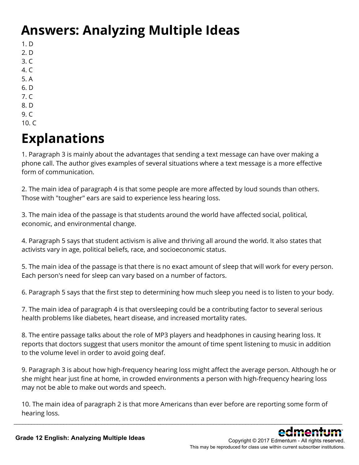# **Answers: Analyzing Multiple Ideas**

- 1. D
- 2. D
- 3. C
- 4. C
- 5. A
- 6. D 7. C
- 8. D
- 9. C
- 10. C

# **Explanations**

1. Paragraph 3 is mainly about the advantages that sending a text message can have over making a phone call. The author gives examples of several situations where a text message is a more effective form of communication.

2. The main idea of paragraph 4 is that some people are more affected by loud sounds than others. Those with "tougher" ears are said to experience less hearing loss.

3. The main idea of the passage is that students around the world have affected social, political, economic, and environmental change.

4. Paragraph 5 says that student activism is alive and thriving all around the world. It also states that activists vary in age, political beliefs, race, and socioeconomic status.

5. The main idea of the passage is that there is no exact amount of sleep that will work for every person. Each person's need for sleep can vary based on a number of factors.

6. Paragraph 5 says that the first step to determining how much sleep you need is to listen to your body.

7. The main idea of paragraph 4 is that oversleeping could be a contributing factor to several serious health problems like diabetes, heart disease, and increased mortality rates.

8. The entire passage talks about the role of MP3 players and headphones in causing hearing loss. It reports that doctors suggest that users monitor the amount of time spent listening to music in addition to the volume level in order to avoid going deaf.

9. Paragraph 3 is about how high-frequency hearing loss might affect the average person. Although he or she might hear just fine at home, in crowded environments a person with high-frequency hearing loss may not be able to make out words and speech.

10. The main idea of paragraph 2 is that more Americans than ever before are reporting some form of hearing loss.

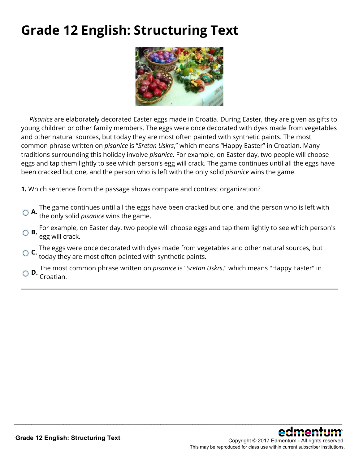## **Grade 12 English: Structuring Text**



 *Pisanice* are elaborately decorated Easter eggs made in Croatia. During Easter, they are given as gifts to young children or other family members. The eggs were once decorated with dyes made from vegetables and other natural sources, but today they are most often painted with synthetic paints. The most common phrase written on *pisanice* is "*Sretan Uskrs*," which means "Happy Easter" in Croatian. Many traditions surrounding this holiday involve *pisanice*. For example, on Easter day, two people will choose eggs and tap them lightly to see which person's egg will crack. The game continues until all the eggs have been cracked but one, and the person who is left with the only solid *pisanice* wins the game.

**1.** Which sentence from the passage shows compare and contrast organization?

- **A.** The game continues until all the eggs have been cracked but one, and the person who is left with the only solid *pisanice* wins the game.
- **B.** For example, on Easter day, two people will choose eggs and tap them lightly to see which person's egg will crack.
- **C.** The eggs were once decorated with dyes made from vegetables and other natural sources, but today they are most often painted with synthetic paints.
- **D.** The most common phrase written on *pisanice* is "*Sretan Uskrs*," which means "Happy Easter" in Croatian.

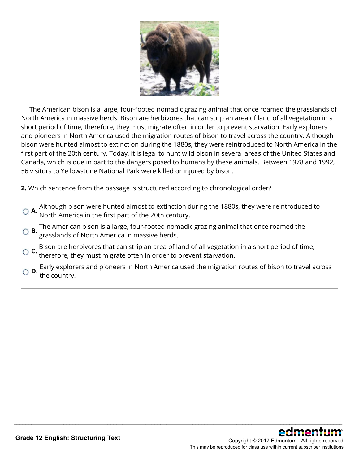

 The American bison is a large, four-footed nomadic grazing animal that once roamed the grasslands of North America in massive herds. Bison are herbivores that can strip an area of land of all vegetation in a short period of time; therefore, they must migrate often in order to prevent starvation. Early explorers and pioneers in North America used the migration routes of bison to travel across the country. Although bison were hunted almost to extinction during the 1880s, they were reintroduced to North America in the first part of the 20th century. Today, it is legal to hunt wild bison in several areas of the United States and Canada, which is due in part to the dangers posed to humans by these animals. Between 1978 and 1992, 56 visitors to Yellowstone National Park were killed or injured by bison.

**2.** Which sentence from the passage is structured according to chronological order?

- **A.** Although bison were hunted almost to extinction during the 1880s, they were reintroduced to North America in the first part of the 20th century.
- **B.** The American bison is a large, four-footed nomadic grazing animal that once roamed the grasslands of North America in massive herds.
- **C.** Bison are herbivores that can strip an area of land of all vegetation in a short period of time; therefore, they must migrate often in order to prevent starvation.
- **D.** Early explorers and pioneers in North America used the migration routes of bison to travel across the country.

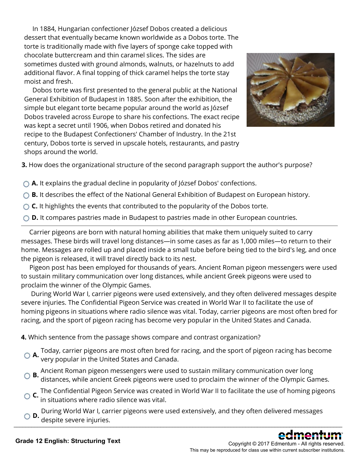In 1884, Hungarian confectioner József Dobos created a delicious dessert that eventually became known worldwide as a Dobos torte. The torte is traditionally made with five layers of sponge cake topped with chocolate buttercream and thin caramel slices. The sides are sometimes dusted with ground almonds, walnuts, or hazelnuts to add additional flavor. A final topping of thick caramel helps the torte stay moist and fresh.

 Dobos torte was first presented to the general public at the National General Exhibition of Budapest in 1885. Soon after the exhibition, the simple but elegant torte became popular around the world as József Dobos traveled across Europe to share his confections. The exact recipe was kept a secret until 1906, when Dobos retired and donated his recipe to the Budapest Confectioners' Chamber of Industry. In the 21st century, Dobos torte is served in upscale hotels, restaurants, and pastry shops around the world.



**3.** How does the organizational structure of the second paragraph support the author's purpose?

- **A.** It explains the gradual decline in popularity of József Dobos' confections.
- ◯ **B.** It describes the effect of the National General Exhibition of Budapest on European history.
- ◯ **C.** It highlights the events that contributed to the popularity of the Dobos torte.
- **D.** It compares pastries made in Budapest to pastries made in other European countries.

 Carrier pigeons are born with natural homing abilities that make them uniquely suited to carry messages. These birds will travel long distances—in some cases as far as 1,000 miles—to return to their home. Messages are rolled up and placed inside a small tube before being tied to the bird's leg, and once the pigeon is released, it will travel directly back to its nest.

 Pigeon post has been employed for thousands of years. Ancient Roman pigeon messengers were used to sustain military communication over long distances, while ancient Greek pigeons were used to proclaim the winner of the Olympic Games.

 During World War I, carrier pigeons were used extensively, and they often delivered messages despite severe injuries. The Confidential Pigeon Service was created in World War II to facilitate the use of homing pigeons in situations where radio silence was vital. Today, carrier pigeons are most often bred for racing, and the sport of pigeon racing has become very popular in the United States and Canada.

**4.** Which sentence from the passage shows compare and contrast organization?

- **A.** Today, carrier pigeons are most often bred for racing, and the sport of pigeon racing has become<br>**A.** very popular in the United States and Canada.
- **B.** Ancient Roman pigeon messengers were used to sustain military communication over long distances, while ancient Greek pigeons were used to proclaim the winner of the Olympic Games.
- **C.** The Confidential Pigeon Service was created in World War II to facilitate the use of homing pigeons in situations where radio silence was vital.
- O D. During World War I, carrier pigeons were used extensively, and they often delivered messages<br>O D. despite severe injuries.

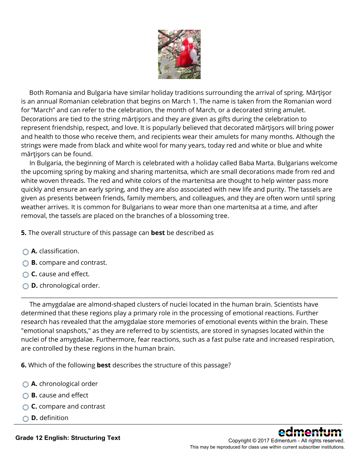

 Both Romania and Bulgaria have similar holiday traditions surrounding the arrival of spring. Mărţişor is an annual Romanian celebration that begins on March 1. The name is taken from the Romanian word for "March" and can refer to the celebration, the month of March, or a decorated string amulet. Decorations are tied to the string mărţişors and they are given as gifts during the celebration to represent friendship, respect, and love. It is popularly believed that decorated mărţişors will bring power and health to those who receive them, and recipients wear their amulets for many months. Although the strings were made from black and white wool for many years, today red and white or blue and white mărţişors can be found.

 In Bulgaria, the beginning of March is celebrated with a holiday called Baba Marta. Bulgarians welcome the upcoming spring by making and sharing martenitsa, which are small decorations made from red and white woven threads. The red and white colors of the martenitsa are thought to help winter pass more quickly and ensure an early spring, and they are also associated with new life and purity. The tassels are given as presents between friends, family members, and colleagues, and they are often worn until spring weather arrives. It is common for Bulgarians to wear more than one martenitsa at a time, and after removal, the tassels are placed on the branches of a blossoming tree.

**5.** The overall structure of this passage can **best** be described as

- **A.** classification.
- **B.** compare and contrast.
- **C.** cause and effect.
- **D.** chronological order.

 The amygdalae are almond-shaped clusters of nuclei located in the human brain. Scientists have determined that these regions play a primary role in the processing of emotional reactions. Further research has revealed that the amygdalae store memories of emotional events within the brain. These "emotional snapshots," as they are referred to by scientists, are stored in synapses located within the nuclei of the amygdalae. Furthermore, fear reactions, such as a fast pulse rate and increased respiration, are controlled by these regions in the human brain.

**6.** Which of the following **best** describes the structure of this passage?

- **A.** chronological order
- **B.** cause and effect
- **C.** compare and contrast
- **D.** definition \_\_\_\_\_\_\_\_\_\_\_\_\_\_\_\_\_\_\_\_\_\_\_\_\_\_\_\_\_\_\_\_\_\_\_\_\_\_\_\_\_\_\_\_\_\_\_\_\_\_\_\_\_\_\_\_\_\_\_\_\_\_\_\_\_\_\_\_\_\_\_\_\_\_\_\_\_\_\_\_\_\_\_\_\_\_\_\_\_\_\_\_\_\_\_\_\_\_\_\_\_\_\_\_\_\_\_\_\_\_\_\_



Copyright © 2017 Edmentum - All rights reserved. This may be reproduced for class use within current subscriber institutions.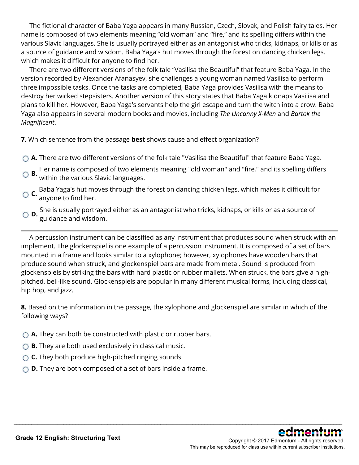The fictional character of Baba Yaga appears in many Russian, Czech, Slovak, and Polish fairy tales. Her name is composed of two elements meaning "old woman" and "fire," and its spelling differs within the various Slavic languages. She is usually portrayed either as an antagonist who tricks, kidnaps, or kills or as a source of guidance and wisdom. Baba Yaga's hut moves through the forest on dancing chicken legs, which makes it difficult for anyone to find her.

 There are two different versions of the folk tale "Vasilisa the Beautiful" that feature Baba Yaga. In the version recorded by Alexander Afanasyev, she challenges a young woman named Vasilisa to perform three impossible tasks. Once the tasks are completed, Baba Yaga provides Vasilisa with the means to destroy her wicked stepsisters. Another version of this story states that Baba Yaga kidnaps Vasilisa and plans to kill her. However, Baba Yaga's servants help the girl escape and turn the witch into a crow. Baba Yaga also appears in several modern books and movies, including *The Uncanny X-Men* and *Bartok the Magnificent*.

**7.** Which sentence from the passage **best** shows cause and effect organization?

- **A.** There are two different versions of the folk tale "Vasilisa the Beautiful" that feature Baba Yaga.
- **B.** Her name is composed of two elements meaning "old woman" and "fire," and its spelling differs **B.** within the vertices of the control of within the various Slavic languages.
- **C.** Baba Yaga's hut moves through the forest on dancing chicken legs, which makes it difficult for anyone to find her.
- **D.** She is usually portrayed either as an antagonist who tricks, kidnaps, or kills or as a source of guidance and wisdom.

 A percussion instrument can be classified as any instrument that produces sound when struck with an implement. The glockenspiel is one example of a percussion instrument. It is composed of a set of bars mounted in a frame and looks similar to a xylophone; however, xylophones have wooden bars that produce sound when struck, and glockenspiel bars are made from metal. Sound is produced from glockenspiels by striking the bars with hard plastic or rubber mallets. When struck, the bars give a highpitched, bell-like sound. Glockenspiels are popular in many different musical forms, including classical, hip hop, and jazz.

**8.** Based on the information in the passage, the xylophone and glockenspiel are similar in which of the following ways?

- **A.** They can both be constructed with plastic or rubber bars.
- **B.** They are both used exclusively in classical music.
- **C.** They both produce high-pitched ringing sounds.
- **D.** They are both composed of a set of bars inside a frame.

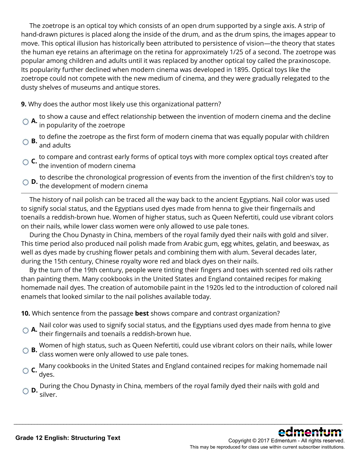The zoetrope is an optical toy which consists of an open drum supported by a single axis. A strip of hand-drawn pictures is placed along the inside of the drum, and as the drum spins, the images appear to move. This optical illusion has historically been attributed to persistence of vision—the theory that states the human eye retains an afterimage on the retina for approximately 1/25 of a second. The zoetrope was popular among children and adults until it was replaced by another optical toy called the praxinoscope. Its popularity further declined when modern cinema was developed in 1895. Optical toys like the zoetrope could not compete with the new medium of cinema, and they were gradually relegated to the dusty shelves of museums and antique stores.

**9.** Why does the author most likely use this organizational pattern?

- **A.** to show a cause and effect relationship between the invention of modern cinema and the decline in popularity of the zoetrope
- **B.** to define the zoetrope as the first form of modern cinema that was equally popular with children and adults
- **C.** to compare and contrast early forms of optical toys with more complex optical toys created after the invention of modern cinema
- **D.** to describe the chronological progression of events from the invention of the first children's toy to the development of modern cinema

 The history of nail polish can be traced all the way back to the ancient Egyptians. Nail color was used to signify social status, and the Egyptians used dyes made from henna to give their fingernails and toenails a reddish-brown hue. Women of higher status, such as Queen Nefertiti, could use vibrant colors on their nails, while lower class women were only allowed to use pale tones.

 During the Chou Dynasty in China, members of the royal family dyed their nails with gold and silver. This time period also produced nail polish made from Arabic gum, egg whites, gelatin, and beeswax, as well as dyes made by crushing flower petals and combining them with alum. Several decades later, during the 15th century, Chinese royalty wore red and black dyes on their nails.

 By the turn of the 19th century, people were tinting their fingers and toes with scented red oils rather than painting them. Many cookbooks in the United States and England contained recipes for making homemade nail dyes. The creation of automobile paint in the 1920s led to the introduction of colored nail enamels that looked similar to the nail polishes available today.

**10.** Which sentence from the passage **best** shows compare and contrast organization?

- **A.** Nail color was used to signify social status, and the Egyptians used dyes made from henna to give their fingernails and toenails a reddish-brown hue.
- **B.** Women of high status, such as Queen Nefertiti, could use vibrant colors on their nails, while lower class women were only allowed to use pale tones.
- **C.** Many cookbooks in the United States and England contained recipes for making homemade nail dyes.
- **D.** During the Chou Dynasty in China, members of the royal family dyed their nails with gold and silver.

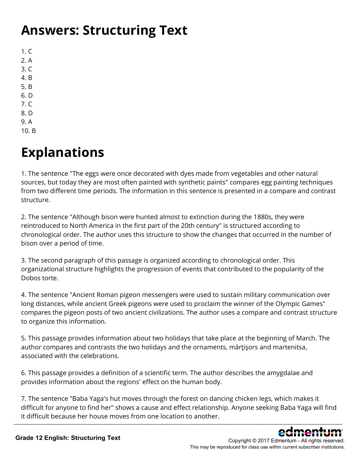## **Answers: Structuring Text**

 $1. C$ 2. A 3. C 4. B 5. B 6. D 7. C 8. D 9. A

10. B

# **Explanations**

1. The sentence "The eggs were once decorated with dyes made from vegetables and other natural sources, but today they are most often painted with synthetic paints" compares egg painting techniques from two different time periods. The information in this sentence is presented in a compare and contrast structure.

2. The sentence "Although bison were hunted almost to extinction during the 1880s, they were reintroduced to North America in the first part of the 20th century" is structured according to chronological order. The author uses this structure to show the changes that occurred in the number of bison over a period of time.

3. The second paragraph of this passage is organized according to chronological order. This organizational structure highlights the progression of events that contributed to the popularity of the Dobos torte.

4. The sentence "Ancient Roman pigeon messengers were used to sustain military communication over long distances, while ancient Greek pigeons were used to proclaim the winner of the Olympic Games" compares the pigeon posts of two ancient civilizations. The author uses a compare and contrast structure to organize this information.

5. This passage provides information about two holidays that take place at the beginning of March. The author compares and contrasts the two holidays and the ornaments, mărţişors and martenitsa, associated with the celebrations.

6. This passage provides a definition of a scientific term. The author describes the amygdalae and provides information about the regions' effect on the human body.

7. The sentence "Baba Yaga's hut moves through the forest on dancing chicken legs, which makes it difficult for anyone to find her" shows a cause and effect relationship. Anyone seeking Baba Yaga will find it difficult because her house moves from one location to another. \_\_\_\_\_\_\_\_\_\_\_\_\_\_\_\_\_\_\_\_\_\_\_\_\_\_\_\_\_\_\_\_\_\_\_\_\_\_\_\_\_\_\_\_\_\_\_\_\_\_\_\_\_\_\_\_\_\_\_\_\_\_\_\_\_\_\_\_\_\_\_\_\_\_\_\_\_\_\_\_\_\_\_\_\_\_\_\_\_\_\_\_\_\_\_\_\_\_\_\_\_\_\_\_\_\_\_\_\_\_\_\_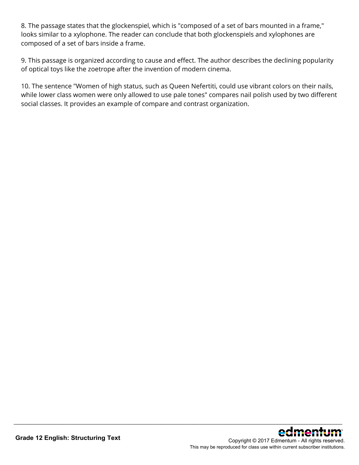8. The passage states that the glockenspiel, which is "composed of a set of bars mounted in a frame," looks similar to a xylophone. The reader can conclude that both glockenspiels and xylophones are composed of a set of bars inside a frame.

9. This passage is organized according to cause and effect. The author describes the declining popularity of optical toys like the zoetrope after the invention of modern cinema.

10. The sentence "Women of high status, such as Queen Nefertiti, could use vibrant colors on their nails, while lower class women were only allowed to use pale tones" compares nail polish used by two different social classes. It provides an example of compare and contrast organization.

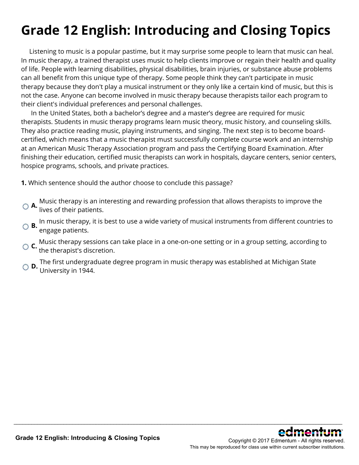# **Grade 12 English: Introducing and Closing Topics**

 Listening to music is a popular pastime, but it may surprise some people to learn that music can heal. In music therapy, a trained therapist uses music to help clients improve or regain their health and quality of life. People with learning disabilities, physical disabilities, brain injuries, or substance abuse problems can all benefit from this unique type of therapy. Some people think they can't participate in music therapy because they don't play a musical instrument or they only like a certain kind of music, but this is not the case. Anyone can become involved in music therapy because therapists tailor each program to their client's individual preferences and personal challenges.

 In the United States, both a bachelor's degree and a master's degree are required for music therapists. Students in music therapy programs learn music theory, music history, and counseling skills. They also practice reading music, playing instruments, and singing. The next step is to become boardcertified, which means that a music therapist must successfully complete course work and an internship at an American Music Therapy Association program and pass the Certifying Board Examination. After finishing their education, certified music therapists can work in hospitals, daycare centers, senior centers, hospice programs, schools, and private practices.

**1.** Which sentence should the author choose to conclude this passage?

- **A.** Music therapy is an interesting and rewarding profession that allows therapists to improve the lives of their patients.
- **B.** In music therapy, it is best to use a wide variety of musical instruments from different countries to engage patients.
- **C.** Music therapy sessions can take place in a one-on-one setting or in a group setting, according to the therapist's discretion.

\_\_\_\_\_\_\_\_\_\_\_\_\_\_\_\_\_\_\_\_\_\_\_\_\_\_\_\_\_\_\_\_\_\_\_\_\_\_\_\_\_\_\_\_\_\_\_\_\_\_\_\_\_\_\_\_\_\_\_\_\_\_\_\_\_\_\_\_\_\_\_\_\_\_\_\_\_\_\_\_\_\_\_\_\_\_\_\_\_\_\_\_\_\_\_\_\_\_\_\_\_\_\_\_\_\_\_\_\_\_\_\_

**D.** The first undergraduate degree program in music therapy was established at Michigan State University in 1944.

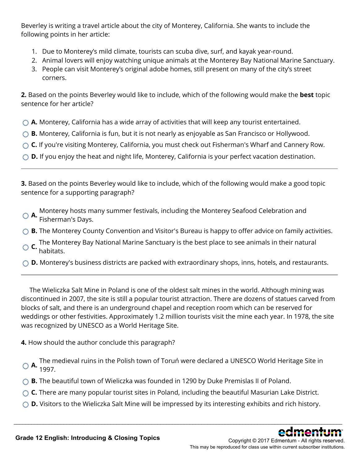Beverley is writing a travel article about the city of Monterey, California. She wants to include the following points in her article:

- 1. Due to Monterey's mild climate, tourists can scuba dive, surf, and kayak year-round.
- 2. Animal lovers will enjoy watching unique animals at the Monterey Bay National Marine Sanctuary.
- 3. People can visit Monterey's original adobe homes, still present on many of the city's street corners.

**2.** Based on the points Beverley would like to include, which of the following would make the **best** topic sentence for her article?

- **A.** Monterey, California has a wide array of activities that will keep any tourist entertained.
- ◯ **B.** Monterey, California is fun, but it is not nearly as enjoyable as San Francisco or Hollywood.
- **C.** If you're visiting Monterey, California, you must check out Fisherman's Wharf and Cannery Row.
- ◯ **D.** If you enjoy the heat and night life, Monterey, California is your perfect vacation destination.

**3.** Based on the points Beverley would like to include, which of the following would make a good topic sentence for a supporting paragraph?

- **A.** Monterey hosts many summer festivals, including the Monterey Seafood Celebration and Fisherman's Days.
- ◯ **B.** The Monterey County Convention and Visitor's Bureau is happy to offer advice on family activities.
- **C.** The Monterey Bay National Marine Sanctuary is the best place to see animals in their natural habitats.
- ◯ **D.** Monterey's business districts are packed with extraordinary shops, inns, hotels, and restaurants.

 The Wieliczka Salt Mine in Poland is one of the oldest salt mines in the world. Although mining was discontinued in 2007, the site is still a popular tourist attraction. There are dozens of statues carved from blocks of salt, and there is an underground chapel and reception room which can be reserved for weddings or other festivities. Approximately 1.2 million tourists visit the mine each year. In 1978, the site was recognized by UNESCO as a World Heritage Site.

**4.** How should the author conclude this paragraph?

**A.** The medieval ruins in the Polish town of Toruń were declared a UNESCO World Heritage Site in 1997.

- **B.** The beautiful town of Wieliczka was founded in 1290 by Duke Premislas II of Poland.
- ◯ **C.** There are many popular tourist sites in Poland, including the beautiful Masurian Lake District.
- ◯ **D.** Visitors to the Wieliczka Salt Mine will be impressed by its interesting exhibits and rich history.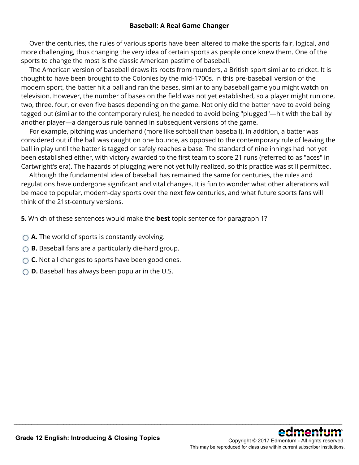#### **Baseball: A Real Game Changer**

 Over the centuries, the rules of various sports have been altered to make the sports fair, logical, and more challenging, thus changing the very idea of certain sports as people once knew them. One of the sports to change the most is the classic American pastime of baseball.

 The American version of baseball draws its roots from rounders, a British sport similar to cricket. It is thought to have been brought to the Colonies by the mid-1700s. In this pre-baseball version of the modern sport, the batter hit a ball and ran the bases, similar to any baseball game you might watch on television. However, the number of bases on the field was not yet established, so a player might run one, two, three, four, or even five bases depending on the game. Not only did the batter have to avoid being tagged out (similar to the contemporary rules), he needed to avoid being "plugged"—hit with the ball by another player—a dangerous rule banned in subsequent versions of the game.

 For example, pitching was underhand (more like softball than baseball). In addition, a batter was considered out if the ball was caught on one bounce, as opposed to the contemporary rule of leaving the ball in play until the batter is tagged or safely reaches a base. The standard of nine innings had not yet been established either, with victory awarded to the first team to score 21 runs (referred to as "aces" in Cartwright's era). The hazards of plugging were not yet fully realized, so this practice was still permitted.

 Although the fundamental idea of baseball has remained the same for centuries, the rules and regulations have undergone significant and vital changes. It is fun to wonder what other alterations will be made to popular, modern-day sports over the next few centuries, and what future sports fans will think of the 21st-century versions.

\_\_\_\_\_\_\_\_\_\_\_\_\_\_\_\_\_\_\_\_\_\_\_\_\_\_\_\_\_\_\_\_\_\_\_\_\_\_\_\_\_\_\_\_\_\_\_\_\_\_\_\_\_\_\_\_\_\_\_\_\_\_\_\_\_\_\_\_\_\_\_\_\_\_\_\_\_\_\_\_\_\_\_\_\_\_\_\_\_\_\_\_\_\_\_\_\_\_\_\_\_\_\_\_\_\_\_\_\_\_\_\_

**5.** Which of these sentences would make the **best** topic sentence for paragraph 1?

- **A.** The world of sports is constantly evolving.
- **B.** Baseball fans are a particularly die-hard group.
- ◯ **C.** Not all changes to sports have been good ones.
- **D.** Baseball has always been popular in the U.S.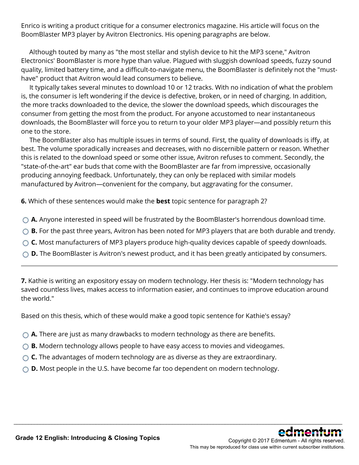Enrico is writing a product critique for a consumer electronics magazine. His article will focus on the BoomBlaster MP3 player by Avitron Electronics. His opening paragraphs are below.

 Although touted by many as "the most stellar and stylish device to hit the MP3 scene," Avitron Electronics' BoomBlaster is more hype than value. Plagued with sluggish download speeds, fuzzy sound quality, limited battery time, and a difficult-to-navigate menu, the BoomBlaster is definitely not the "musthave" product that Avitron would lead consumers to believe.

 It typically takes several minutes to download 10 or 12 tracks. With no indication of what the problem is, the consumer is left wondering if the device is defective, broken, or in need of charging. In addition, the more tracks downloaded to the device, the slower the download speeds, which discourages the consumer from getting the most from the product. For anyone accustomed to near instantaneous downloads, the BoomBlaster will force you to return to your older MP3 player—and possibly return this one to the store.

 The BoomBlaster also has multiple issues in terms of sound. First, the quality of downloads is iffy, at best. The volume sporadically increases and decreases, with no discernible pattern or reason. Whether this is related to the download speed or some other issue, Avitron refuses to comment. Secondly, the "state-of-the-art" ear buds that come with the BoomBlaster are far from impressive, occasionally producing annoying feedback. Unfortunately, they can only be replaced with similar models manufactured by Avitron—convenient for the company, but aggravating for the consumer.

**6.** Which of these sentences would make the **best** topic sentence for paragraph 2?

- ◯ **A.** Anyone interested in speed will be frustrated by the BoomBlaster's horrendous download time.
- **B.** For the past three years, Avitron has been noted for MP3 players that are both durable and trendy.
- ◯ **C.** Most manufacturers of MP3 players produce high-quality devices capable of speedy downloads.
- ◯ **D.** The BoomBlaster is Avitron's newest product, and it has been greatly anticipated by consumers.

**7.** Kathie is writing an expository essay on modern technology. Her thesis is: "Modern technology has saved countless lives, makes access to information easier, and continues to improve education around the world."

\_\_\_\_\_\_\_\_\_\_\_\_\_\_\_\_\_\_\_\_\_\_\_\_\_\_\_\_\_\_\_\_\_\_\_\_\_\_\_\_\_\_\_\_\_\_\_\_\_\_\_\_\_\_\_\_\_\_\_\_\_\_\_\_\_\_\_\_\_\_\_\_\_\_\_\_\_\_\_\_\_\_\_\_\_\_\_\_\_\_\_\_\_\_\_\_\_\_\_\_\_\_\_\_\_\_\_\_\_\_\_\_

Based on this thesis, which of these would make a good topic sentence for Kathie's essay?

- ◯ **A.** There are just as many drawbacks to modern technology as there are benefits.
- ◯ **B.** Modern technology allows people to have easy access to movies and videogames.
- **C.** The advantages of modern technology are as diverse as they are extraordinary.
- **D.** Most people in the U.S. have become far too dependent on modern technology.

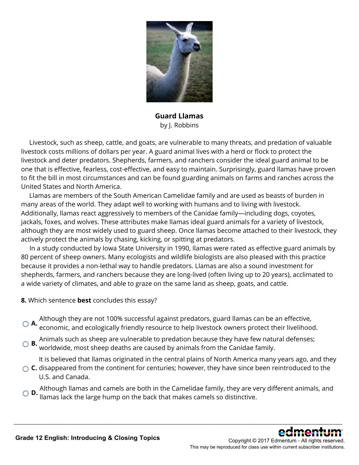

**Guard Llamas** by J. Robbins

 Livestock, such as sheep, cattle, and goats, are vulnerable to many threats, and predation of valuable livestock costs millions of dollars per year. A guard animal lives with a herd or flock to protect the livestock and deter predators. Shepherds, farmers, and ranchers consider the ideal guard animal to be one that is effective, fearless, cost-effective, and easy to maintain. Surprisingly, guard llamas have proven to fit the bill in most circumstances and can be found guarding animals on farms and ranches across the United States and North America.

 Llamas are members of the South American Camelidae family and are used as beasts of burden in many areas of the world. They adapt well to working with humans and to living with livestock. Additionally, llamas react aggressively to members of the Canidae family—including dogs, coyotes, jackals, foxes, and wolves. These attributes make llamas ideal guard animals for a variety of livestock, although they are most widely used to guard sheep. Once llamas become attached to their livestock, they actively protect the animals by chasing, kicking, or spitting at predators.

 In a study conducted by Iowa State University in 1990, llamas were rated as effective guard animals by 80 percent of sheep owners. Many ecologists and wildlife biologists are also pleased with this practice because it provides a non-lethal way to handle predators. Llamas are also a sound investment for shepherds, farmers, and ranchers because they are long-lived (often living up to 20 years), acclimated to a wide variety of climates, and able to graze on the same land as sheep, goats, and cattle.

- **8.** Which sentence **best** concludes this essay?
- **A.** Although they are not 100% successful against predators, guard llamas can be an effective, economic, and ecologically friendly resource to help livestock owners protect their livelihood.
- **B.** Animals such as sheep are vulnerable to predation because they have few natural defenses; worldwide, most sheep deaths are caused by animals from the Canidae family.

It is believed that llamas originated in the central plains of North America many years ago, and they

- **C.** disappeared from the continent for centuries; however, they have since been reintroduced to the U.S. and Canada.
- **D.** Although llamas and camels are both in the Camelidae family, they are very different animals, and llamas lack the large hump on the back that makes camels so distinctive.

\_\_\_\_\_\_\_\_\_\_\_\_\_\_\_\_\_\_\_\_\_\_\_\_\_\_\_\_\_\_\_\_\_\_\_\_\_\_\_\_\_\_\_\_\_\_\_\_\_\_\_\_\_\_\_\_\_\_\_\_\_\_\_\_\_\_\_\_\_\_\_\_\_\_\_\_\_\_\_\_\_\_\_\_\_\_\_\_\_\_\_\_\_\_\_\_\_\_\_\_\_\_\_\_\_\_\_\_\_\_\_\_

Copyright © 2017 Edmentum - All rights reserved. This may be reproduced for class use within current subscriber institutions.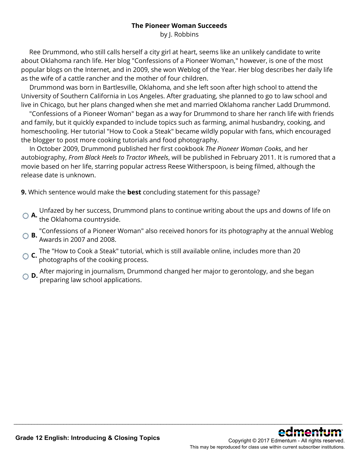#### **The Pioneer Woman Succeeds**

by J. Robbins

 Ree Drummond, who still calls herself a city girl at heart, seems like an unlikely candidate to write about Oklahoma ranch life. Her blog "Confessions of a Pioneer Woman," however, is one of the most popular blogs on the Internet, and in 2009, she won Weblog of the Year. Her blog describes her daily life as the wife of a cattle rancher and the mother of four children.

 Drummond was born in Bartlesville, Oklahoma, and she left soon after high school to attend the University of Southern California in Los Angeles. After graduating, she planned to go to law school and live in Chicago, but her plans changed when she met and married Oklahoma rancher Ladd Drummond.

 "Confessions of a Pioneer Woman" began as a way for Drummond to share her ranch life with friends and family, but it quickly expanded to include topics such as farming, animal husbandry, cooking, and homeschooling. Her tutorial "How to Cook a Steak" became wildly popular with fans, which encouraged the blogger to post more cooking tutorials and food photography.

 In October 2009, Drummond published her first cookbook *The Pioneer Woman Cooks*, and her autobiography, *From Black Heels to Tractor Wheels*, will be published in February 2011. It is rumored that a movie based on her life, starring popular actress Reese Witherspoon, is being filmed, although the release date is unknown.

**9.** Which sentence would make the **best** concluding statement for this passage?

**A.** Unfazed by her success, Drummond plans to continue writing about the ups and downs of life on the Oklahoma countryside.

**B.** "Confessions of a Pioneer Woman" also received honors for its photography at the annual Weblog Awards in 2007 and 2008.

- **C.** The "How to Cook a Steak" tutorial, which is still available online, includes more than 20 photographs of the cooking process.
- **D.** After majoring in journalism, Drummond changed her major to gerontology, and she began preparing law school applications.

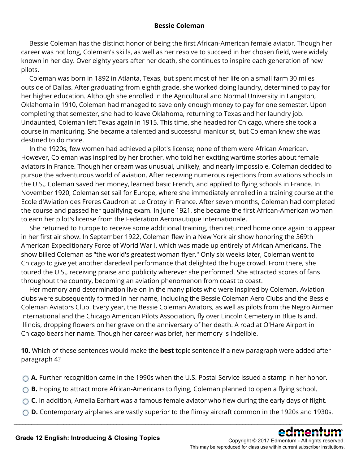#### **Bessie Coleman**

 Bessie Coleman has the distinct honor of being the first African-American female aviator. Though her career was not long, Coleman's skills, as well as her resolve to succeed in her chosen field, were widely known in her day. Over eighty years after her death, she continues to inspire each generation of new pilots.

 Coleman was born in 1892 in Atlanta, Texas, but spent most of her life on a small farm 30 miles outside of Dallas. After graduating from eighth grade, she worked doing laundry, determined to pay for her higher education. Although she enrolled in the Agricultural and Normal University in Langston, Oklahoma in 1910, Coleman had managed to save only enough money to pay for one semester. Upon completing that semester, she had to leave Oklahoma, returning to Texas and her laundry job. Undaunted, Coleman left Texas again in 1915. This time, she headed for Chicago, where she took a course in manicuring. She became a talented and successful manicurist, but Coleman knew she was destined to do more.

 In the 1920s, few women had achieved a pilot's license; none of them were African American. However, Coleman was inspired by her brother, who told her exciting wartime stories about female aviators in France. Though her dream was unusual, unlikely, and nearly impossible, Coleman decided to pursue the adventurous world of aviation. After receiving numerous rejections from aviations schools in the U.S., Coleman saved her money, learned basic French, and applied to flying schools in France. In November 1920, Coleman set sail for Europe, where she immediately enrolled in a training course at the Ecole d'Aviation des Freres Caudron at Le Crotoy in France. After seven months, Coleman had completed the course and passed her qualifying exam. In June 1921, she became the first African-American woman to earn her pilot's license from the Federation Aeronautique Internationale.

 She returned to Europe to receive some additional training, then returned home once again to appear in her first air show. In September 1922, Coleman flew in a New York air show honoring the 369th American Expeditionary Force of World War I, which was made up entirely of African Americans. The show billed Coleman as "the world's greatest woman flyer." Only six weeks later, Coleman went to Chicago to give yet another daredevil performance that delighted the huge crowd. From there, she toured the U.S., receiving praise and publicity wherever she performed. She attracted scores of fans throughout the country, becoming an aviation phenomenon from coast to coast.

 Her memory and determination live on in the many pilots who were inspired by Coleman. Aviation clubs were subsequently formed in her name, including the Bessie Coleman Aero Clubs and the Bessie Coleman Aviators Club. Every year, the Bessie Coleman Aviators, as well as pilots from the Negro Airmen International and the Chicago American Pilots Association, fly over Lincoln Cemetery in Blue Island, Illinois, dropping flowers on her grave on the anniversary of her death. A road at O'Hare Airport in Chicago bears her name. Though her career was brief, her memory is indelible.

**10.** Which of these sentences would make the **best** topic sentence if a new paragraph were added after paragraph 4?

- **A.** Further recognition came in the 1990s when the U.S. Postal Service issued a stamp in her honor.
- ◯ **B.** Hoping to attract more African-Americans to flying, Coleman planned to open a flying school.
- ◯ **C.** In addition, Amelia Earhart was a famous female aviator who flew during the early days of flight.
- **D.** Contemporary airplanes are vastly superior to the flimsy aircraft common in the 1920s and 1930s. \_\_\_\_\_\_\_\_\_\_\_\_\_\_\_\_\_\_\_\_\_\_\_\_\_\_\_\_\_\_\_\_\_\_\_\_\_\_\_\_\_\_\_\_\_\_\_\_\_\_\_\_\_\_\_\_\_\_\_\_\_\_\_\_\_\_\_\_\_\_\_\_\_\_\_\_\_\_\_\_\_\_\_\_\_\_\_\_\_\_\_\_\_\_\_\_\_\_\_\_\_\_\_\_\_\_\_\_\_\_\_\_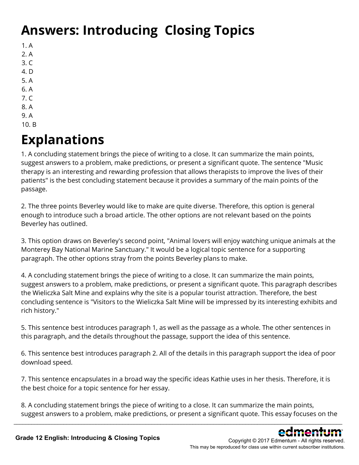# **Answers: Introducing Closing Topics**

- 1. A
- 2. A
- 3. C
- 4. D
- 5. A
- 6. A
- 7. C
- 8. A
- 9. A 10. B

### **Explanations**

1. A concluding statement brings the piece of writing to a close. It can summarize the main points, suggest answers to a problem, make predictions, or present a significant quote. The sentence "Music therapy is an interesting and rewarding profession that allows therapists to improve the lives of their patients" is the best concluding statement because it provides a summary of the main points of the passage.

2. The three points Beverley would like to make are quite diverse. Therefore, this option is general enough to introduce such a broad article. The other options are not relevant based on the points Beverley has outlined.

3. This option draws on Beverley's second point, "Animal lovers will enjoy watching unique animals at the Monterey Bay National Marine Sanctuary." It would be a logical topic sentence for a supporting paragraph. The other options stray from the points Beverley plans to make.

4. A concluding statement brings the piece of writing to a close. It can summarize the main points, suggest answers to a problem, make predictions, or present a significant quote. This paragraph describes the Wieliczka Salt Mine and explains why the site is a popular tourist attraction. Therefore, the best concluding sentence is "Visitors to the Wieliczka Salt Mine will be impressed by its interesting exhibits and rich history."

5. This sentence best introduces paragraph 1, as well as the passage as a whole. The other sentences in this paragraph, and the details throughout the passage, support the idea of this sentence.

6. This sentence best introduces paragraph 2. All of the details in this paragraph support the idea of poor download speed.

7. This sentence encapsulates in a broad way the specific ideas Kathie uses in her thesis. Therefore, it is the best choice for a topic sentence for her essay.

8. A concluding statement brings the piece of writing to a close. It can summarize the main points, suggest answers to a problem, make predictions, or present a significant quote. This essay focuses on the

\_\_\_\_\_\_\_\_\_\_\_\_\_\_\_\_\_\_\_\_\_\_\_\_\_\_\_\_\_\_\_\_\_\_\_\_\_\_\_\_\_\_\_\_\_\_\_\_\_\_\_\_\_\_\_\_\_\_\_\_\_\_\_\_\_\_\_\_\_\_\_\_\_\_\_\_\_\_\_\_\_\_\_\_\_\_\_\_\_\_\_\_\_\_\_\_\_\_\_\_\_\_\_\_\_\_\_\_\_\_\_\_

Copyright © 2017 Edmentum - All rights reserved. This may be reproduced for class use within current subscriber institutions.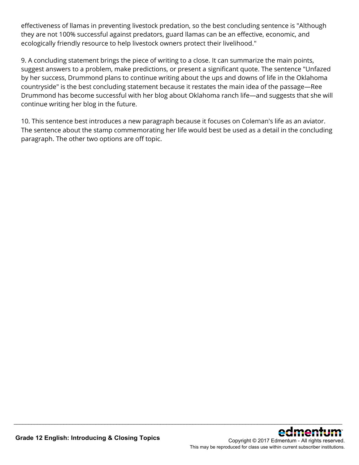effectiveness of llamas in preventing livestock predation, so the best concluding sentence is "Although they are not 100% successful against predators, guard llamas can be an effective, economic, and ecologically friendly resource to help livestock owners protect their livelihood."

9. A concluding statement brings the piece of writing to a close. It can summarize the main points, suggest answers to a problem, make predictions, or present a significant quote. The sentence "Unfazed by her success, Drummond plans to continue writing about the ups and downs of life in the Oklahoma countryside" is the best concluding statement because it restates the main idea of the passage—Ree Drummond has become successful with her blog about Oklahoma ranch life—and suggests that she will continue writing her blog in the future.

10. This sentence best introduces a new paragraph because it focuses on Coleman's life as an aviator. The sentence about the stamp commemorating her life would best be used as a detail in the concluding paragraph. The other two options are off topic.

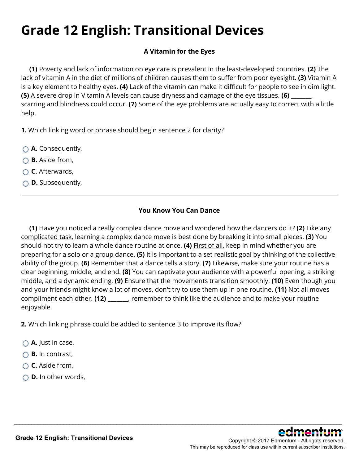# **Grade 12 English: Transitional Devices**

### **A Vitamin for the Eyes**

**(1)** Poverty and lack of information on eye care is prevalent in the least-developed countries. **(2)** The lack of vitamin A in the diet of millions of children causes them to suffer from poor eyesight. **(3)** Vitamin A is a key element to healthy eyes. **(4)** Lack of the vitamin can make it difficult for people to see in dim light. **(5)** A severe drop in Vitamin A levels can cause dryness and damage of the eye tissues. **(6)** \_\_\_\_\_\_\_, scarring and blindness could occur. **(7)** Some of the eye problems are actually easy to correct with a little help.

**1.** Which linking word or phrase should begin sentence 2 for clarity?

- **A.** Consequently,
- **B.** Aside from,
- **C.** Afterwards,
- **D.** Subsequently,

### **You Know You Can Dance**

**(1)** Have you noticed a really complex dance move and wondered how the dancers do it? **(2)** Like any complicated task, learning a complex dance move is best done by breaking it into small pieces. **(3)** You should not try to learn a whole dance routine at once. **(4)** First of all, keep in mind whether you are preparing for a solo or a group dance. **(5)** It is important to a set realistic goal by thinking of the collective ability of the group. **(6)** Remember that a dance tells a story. **(7)** Likewise, make sure your routine has a clear beginning, middle, and end. **(8)** You can captivate your audience with a powerful opening, a striking middle, and a dynamic ending. **(9)** Ensure that the movements transition smoothly. **(10)** Even though you and your friends might know a lot of moves, don't try to use them up in one routine. **(11)** Not all moves compliment each other. **(12)** \_\_\_\_\_\_\_, remember to think like the audience and to make your routine enjoyable.

\_\_\_\_\_\_\_\_\_\_\_\_\_\_\_\_\_\_\_\_\_\_\_\_\_\_\_\_\_\_\_\_\_\_\_\_\_\_\_\_\_\_\_\_\_\_\_\_\_\_\_\_\_\_\_\_\_\_\_\_\_\_\_\_\_\_\_\_\_\_\_\_\_\_\_\_\_\_\_\_\_\_\_\_\_\_\_\_\_\_\_\_\_\_\_\_\_\_\_\_\_\_\_\_\_\_\_\_\_\_\_\_

**2.** Which linking phrase could be added to sentence 3 to improve its flow?

- **A.** Just in case,
- **B.** In contrast,
- **C.** Aside from,
- **D.** In other words,

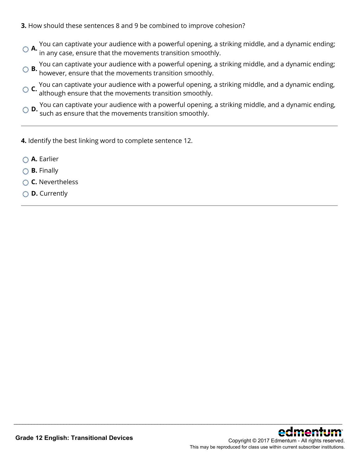- **3.** How should these sentences 8 and 9 be combined to improve cohesion?
- **A.** You can captivate your audience with a powerful opening, a striking middle, and a dynamic ending; in any case, ensure that the movements transition smoothly.
- **B.** You can captivate your audience with a powerful opening, a striking middle, and a dynamic ending; however, ensure that the movements transition smoothly.
- **C.** You can captivate your audience with a powerful opening, a striking middle, and a dynamic ending, although ensure that the movements transition smoothly.
- **D.** You can captivate your audience with a powerful opening, a striking middle, and a dynamic ending, such as ensure that the movements transition smoothly.

- **4.** Identify the best linking word to complete sentence 12.
- **A.** Earlier
- **B.** Finally
- **C.** Nevertheless
- **D.** Currently

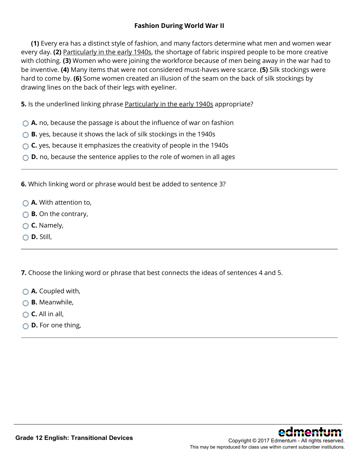#### **Fashion During World War II**

**(1)** Every era has a distinct style of fashion, and many factors determine what men and women wear every day. **(2)** Particularly in the early 1940s, the shortage of fabric inspired people to be more creative with clothing. **(3)** Women who were joining the workforce because of men being away in the war had to be inventive. **(4)** Many items that were not considered must-haves were scarce. **(5)** Silk stockings were hard to come by. **(6)** Some women created an illusion of the seam on the back of silk stockings by drawing lines on the back of their legs with eyeliner.

**5.** Is the underlined linking phrase Particularly in the early 1940s appropriate?

- **A.** no, because the passage is about the influence of war on fashion
- **B.** yes, because it shows the lack of silk stockings in the 1940s
- ◯ **C.** yes, because it emphasizes the creativity of people in the 1940s
- ◯ **D.** no, because the sentence applies to the role of women in all ages

**6.** Which linking word or phrase would best be added to sentence 3?

- **A.** With attention to,
- **B.** On the contrary,
- **C.** Namely,
- **D.** Still,

**7.** Choose the linking word or phrase that best connects the ideas of sentences 4 and 5.

- **A.** Coupled with,
- **B.** Meanwhile,
- **C.** All in all,
- **D.** For one thing,

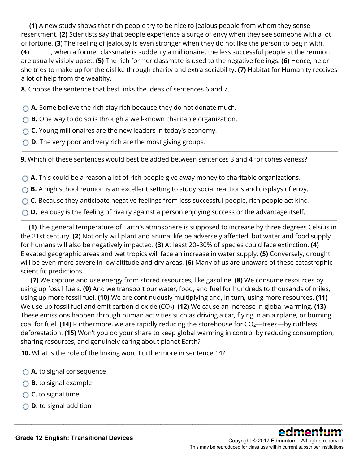**(1)** A new study shows that rich people try to be nice to jealous people from whom they sense resentment. **(2)** Scientists say that people experience a surge of envy when they see someone with a lot of fortune. **(3**) The feeling of jealousy is even stronger when they do not like the person to begin with. **(4)** \_\_\_\_\_\_\_, when a former classmate is suddenly a millionaire, the less successful people at the reunion are usually visibly upset. **(5)** The rich former classmate is used to the negative feelings. **(6)** Hence, he or she tries to make up for the dislike through charity and extra sociability. **(7)** Habitat for Humanity receives a lot of help from the wealthy.

**8.** Choose the sentence that best links the ideas of sentences 6 and 7.

**A.** Some believe the rich stay rich because they do not donate much.

◯ **B.** One way to do so is through a well-known charitable organization.

**C.** Young millionaires are the new leaders in today's economy.

**D.** The very poor and very rich are the most giving groups.

**9.** Which of these sentences would best be added between sentences 3 and 4 for cohesiveness?

**A.** This could be a reason a lot of rich people give away money to charitable organizations.

◯ **B.** A high school reunion is an excellent setting to study social reactions and displays of envy.

○ **C.** Because they anticipate negative feelings from less successful people, rich people act kind.

**O.** D. Jealousy is the feeling of rivalry against a person enjoying success or the advantage itself.

**(1)** The general temperature of Earth's atmosphere is supposed to increase by three degrees Celsius in the 21st century. **(2)** Not only will plant and animal life be adversely affected, but water and food supply for humans will also be negatively impacted. **(3)** At least 20–30% of species could face extinction. **(4)** Elevated geographic areas and wet tropics will face an increase in water supply. **(5)** Conversely, drought will be even more severe in low altitude and dry areas. **(6)** Many of us are unaware of these catastrophic scientific predictions.

**(7)** We capture and use energy from stored resources, like gasoline. **(8)** We consume resources by using up fossil fuels. **(9)** And we transport our water, food, and fuel for hundreds to thousands of miles, using up more fossil fuel. **(10)** We are continuously multiplying and, in turn, using more resources. **(11)** We use up fossil fuel and emit carbon dioxide (CO<sub>2</sub>). **(12)** We cause an increase in global warming. **(13)** These emissions happen through human activities such as driving a car, flying in an airplane, or burning coal for fuel. **(14)** Furthermore, we are rapidly reducing the storehouse for CO<sub>2</sub>—trees—by ruthless deforestation. **(15)** Won't you do your share to keep global warming in control by reducing consumption, sharing resources, and genuinely caring about planet Earth?

\_\_\_\_\_\_\_\_\_\_\_\_\_\_\_\_\_\_\_\_\_\_\_\_\_\_\_\_\_\_\_\_\_\_\_\_\_\_\_\_\_\_\_\_\_\_\_\_\_\_\_\_\_\_\_\_\_\_\_\_\_\_\_\_\_\_\_\_\_\_\_\_\_\_\_\_\_\_\_\_\_\_\_\_\_\_\_\_\_\_\_\_\_\_\_\_\_\_\_\_\_\_\_\_\_\_\_\_\_\_\_\_

**10.** What is the role of the linking word Furthermore in sentence 14?

- **A.** to signal consequence
- **B.** to signal example
- **C.** to signal time
- **D.** to signal addition

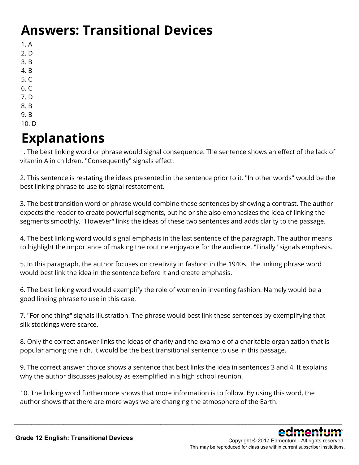### **Answers: Transitional Devices**

- 1. A
- 2. D
- 3. B
- 4. B
- 5. C
- 6. C 7. D
- 8. B
- 9. B
- 10. D

# **Explanations**

1. The best linking word or phrase would signal consequence. The sentence shows an effect of the lack of vitamin A in children. "Consequently" signals effect.

2. This sentence is restating the ideas presented in the sentence prior to it. "In other words" would be the best linking phrase to use to signal restatement.

3. The best transition word or phrase would combine these sentences by showing a contrast. The author expects the reader to create powerful segments, but he or she also emphasizes the idea of linking the segments smoothly. "However" links the ideas of these two sentences and adds clarity to the passage.

4. The best linking word would signal emphasis in the last sentence of the paragraph. The author means to highlight the importance of making the routine enjoyable for the audience. "Finally" signals emphasis.

5. In this paragraph, the author focuses on creativity in fashion in the 1940s. The linking phrase word would best link the idea in the sentence before it and create emphasis.

6. The best linking word would exemplify the role of women in inventing fashion. Namely would be a good linking phrase to use in this case.

7. "For one thing" signals illustration. The phrase would best link these sentences by exemplifying that silk stockings were scarce.

8. Only the correct answer links the ideas of charity and the example of a charitable organization that is popular among the rich. It would be the best transitional sentence to use in this passage.

9. The correct answer choice shows a sentence that best links the idea in sentences 3 and 4. It explains why the author discusses jealousy as exemplified in a high school reunion.

\_\_\_\_\_\_\_\_\_\_\_\_\_\_\_\_\_\_\_\_\_\_\_\_\_\_\_\_\_\_\_\_\_\_\_\_\_\_\_\_\_\_\_\_\_\_\_\_\_\_\_\_\_\_\_\_\_\_\_\_\_\_\_\_\_\_\_\_\_\_\_\_\_\_\_\_\_\_\_\_\_\_\_\_\_\_\_\_\_\_\_\_\_\_\_\_\_\_\_\_\_\_\_\_\_\_\_\_\_\_\_\_

10. The linking word furthermore shows that more information is to follow. By using this word, the author shows that there are more ways we are changing the atmosphere of the Earth.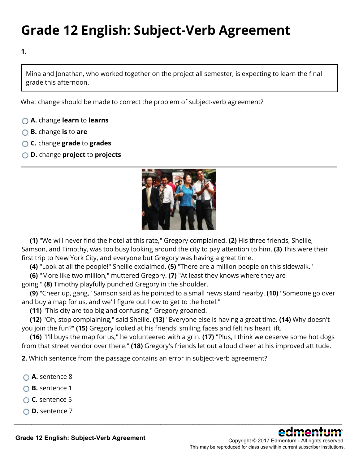# **Grade 12 English: Subject-Verb Agreement**

**1.**

Mina and Jonathan, who worked together on the project all semester, is expecting to learn the final grade this afternoon.

What change should be made to correct the problem of subject-verb agreement?

- **A.** change **learn** to **learns**
- **B.** change **is** to **are**
- **C.** change **grade** to **grades**
- **D.** change **project** to **projects**



**(1)** "We will never find the hotel at this rate," Gregory complained. **(2)** His three friends, Shellie, Samson, and Timothy, was too busy looking around the city to pay attention to him. **(3)** This were their first trip to New York City, and everyone but Gregory was having a great time.

**(4)** "Look at all the people!" Shellie exclaimed. **(5)** "There are a million people on this sidewalk."

**(6)** "More like two million," muttered Gregory. **(7)** "At least they knows where they are going." **(8)** Timothy playfully punched Gregory in the shoulder.

**(9)** "Cheer up, gang," Samson said as he pointed to a small news stand nearby. **(10)** "Someone go over and buy a map for us, and we'll figure out how to get to the hotel."

**(11)** "This city are too big and confusing," Gregory groaned.

**(12)** "Oh, stop complaining," said Shellie. **(13)** "Everyone else is having a great time. **(14)** Why doesn't you join the fun?" **(15)** Gregory looked at his friends' smiling faces and felt his heart lift.

**(16)** "I'll buys the map for us," he volunteered with a grin. **(17)** "Plus, I think we deserve some hot dogs from that street vendor over there." **(18)** Gregory's friends let out a loud cheer at his improved attitude.

\_\_\_\_\_\_\_\_\_\_\_\_\_\_\_\_\_\_\_\_\_\_\_\_\_\_\_\_\_\_\_\_\_\_\_\_\_\_\_\_\_\_\_\_\_\_\_\_\_\_\_\_\_\_\_\_\_\_\_\_\_\_\_\_\_\_\_\_\_\_\_\_\_\_\_\_\_\_\_\_\_\_\_\_\_\_\_\_\_\_\_\_\_\_\_\_\_\_\_\_\_\_\_\_\_\_\_\_\_\_\_\_

**2.** Which sentence from the passage contains an error in subject-verb agreement?

- **A.** sentence 8
- **B.** sentence 1
- **C.** sentence 5
- **D.** sentence 7

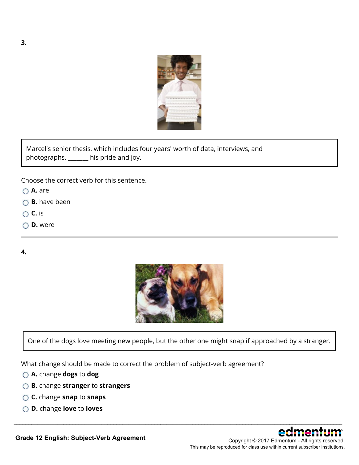

Marcel's senior thesis, which includes four years' worth of data, interviews, and photographs, \_\_\_\_\_\_\_ his pride and joy.

Choose the correct verb for this sentence.

- **A.** are
- **B.** have been
- **C.** is
- **D.** were

**4.**



One of the dogs love meeting new people, but the other one might snap if approached by a stranger.

\_\_\_\_\_\_\_\_\_\_\_\_\_\_\_\_\_\_\_\_\_\_\_\_\_\_\_\_\_\_\_\_\_\_\_\_\_\_\_\_\_\_\_\_\_\_\_\_\_\_\_\_\_\_\_\_\_\_\_\_\_\_\_\_\_\_\_\_\_\_\_\_\_\_\_\_\_\_\_\_\_\_\_\_\_\_\_\_\_\_\_\_\_\_\_\_\_\_\_\_\_\_\_\_\_\_\_\_\_\_\_\_

What change should be made to correct the problem of subject-verb agreement?

- **A.** change **dogs** to **dog**
- **B.** change **stranger** to **strangers**
- **C.** change **snap** to **snaps**
- **D.** change **love** to **loves**



**Grade 12 English: Subject-Verb Agreement**

This may be reproduced for class use within current subscriber institutions.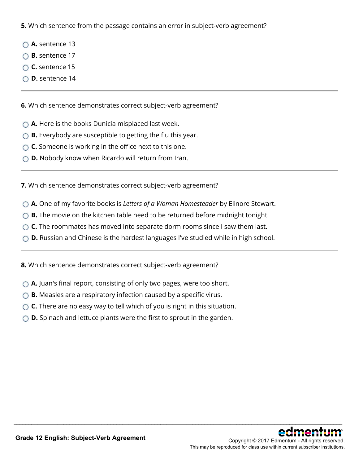**5.** Which sentence from the passage contains an error in subject-verb agreement?

- **A.** sentence 13
- **B.** sentence 17
- **C.** sentence 15
- **D.** sentence 14

**6.** Which sentence demonstrates correct subject-verb agreement?

- **A.** Here is the books Dunicia misplaced last week.
- ◯ **B.** Everybody are susceptible to getting the flu this year.
- **C.** Someone is working in the office next to this one.
- **D.** Nobody know when Ricardo will return from Iran.

**7.** Which sentence demonstrates correct subject-verb agreement?

- **A.** One of my favorite books is *Letters of a Woman Homesteader* by Elinore Stewart.
- ◯ **B.** The movie on the kitchen table need to be returned before midnight tonight.
- **C.** The roommates has moved into separate dorm rooms since I saw them last.
- **D.** Russian and Chinese is the hardest languages I've studied while in high school.

\_\_\_\_\_\_\_\_\_\_\_\_\_\_\_\_\_\_\_\_\_\_\_\_\_\_\_\_\_\_\_\_\_\_\_\_\_\_\_\_\_\_\_\_\_\_\_\_\_\_\_\_\_\_\_\_\_\_\_\_\_\_\_\_\_\_\_\_\_\_\_\_\_\_\_\_\_\_\_\_\_\_\_\_\_\_\_\_\_\_\_\_\_\_\_\_\_\_\_\_\_\_\_\_\_\_\_\_\_\_\_\_

**8.** Which sentence demonstrates correct subject-verb agreement?

- ◯ **A.** Juan's final report, consisting of only two pages, were too short.
- **B.** Measles are a respiratory infection caused by a specific virus.
- **C.** There are no easy way to tell which of you is right in this situation.
- ◯ **D.** Spinach and lettuce plants were the first to sprout in the garden.

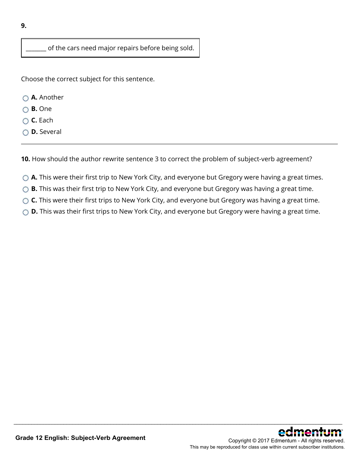of the cars need major repairs before being sold.

Choose the correct subject for this sentence.

- **A.** Another
- **B.** One
- **C.** Each
- **D.** Several

**10.** How should the author rewrite sentence 3 to correct the problem of subject-verb agreement?

- **A.** This were their first trip to New York City, and everyone but Gregory were having a great times.
- ◯ **B.** This was their first trip to New York City, and everyone but Gregory was having a great time.
- ◯ **C.** This were their first trips to New York City, and everyone but Gregory was having a great time.
- ◯ **D.** This was their first trips to New York City, and everyone but Gregory were having a great time.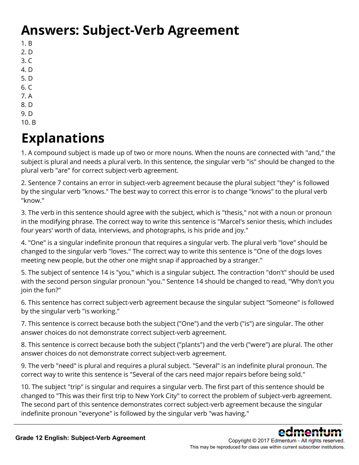### **Answers: Subject-Verb Agreement**

- 1. B
- 2. D
- $3. C$ 4. D
- 5. D
- $6. C$
- 7. A
- 8. D
- 9. D
- 10. B

# **Explanations**

1. A compound subject is made up of two or more nouns. When the nouns are connected with "and," the subject is plural and needs a plural verb. In this sentence, the singular verb "is" should be changed to the plural verb "are" for correct subject-verb agreement.

2. Sentence 7 contains an error in subject-verb agreement because the plural subject "they" is followed by the singular verb "knows." The best way to correct this error is to change "knows" to the plural verb "know."

3. The verb in this sentence should agree with the subject, which is "thesis," not with a noun or pronoun in the modifying phrase. The correct way to write this sentence is "Marcel's senior thesis, which includes four years' worth of data, interviews, and photographs, is his pride and joy."

4. "One" is a singular indefinite pronoun that requires a singular verb. The plural verb "love" should be changed to the singular verb "loves." The correct way to write this sentence is "One of the dogs loves meeting new people, but the other one might snap if approached by a stranger."

5. The subject of sentence 14 is "you," which is a singular subject. The contraction "don't" should be used with the second person singular pronoun "you." Sentence 14 should be changed to read, "Why don't you join the fun?"

6. This sentence has correct subject-verb agreement because the singular subject "Someone" is followed by the singular verb "is working."

7. This sentence is correct because both the subject ("One") and the verb ("is") are singular. The other answer choices do not demonstrate correct subject-verb agreement.

8. This sentence is correct because both the subject ("plants") and the verb ("were") are plural. The other answer choices do not demonstrate correct subject-verb agreement.

9. The verb "need" is plural and requires a plural subject. "Several" is an indefinite plural pronoun. The correct way to write this sentence is "Several of the cars need major repairs before being sold."

10. The subject "trip" is singular and requires a singular verb. The first part of this sentence should be changed to "This was their first trip to New York City" to correct the problem of subject-verb agreement. The second part of this sentence demonstrates correct subject-verb agreement because the singular indefinite pronoun "everyone" is followed by the singular verb "was having."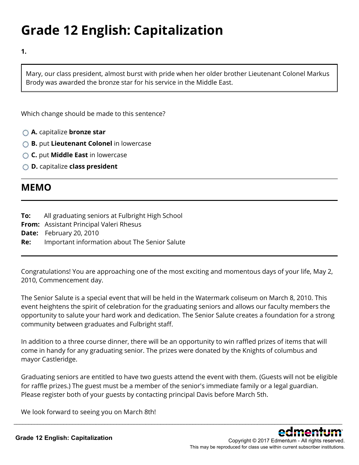# **Grade 12 English: Capitalization**

**1.**

Mary, our class president, almost burst with pride when her older brother Lieutenant Colonel Markus Brody was awarded the bronze star for his service in the Middle East.

Which change should be made to this sentence?

- **A.** capitalize **bronze star**
- **B.** put **Lieutenant Colonel** in lowercase
- **C.** put **Middle East** in lowercase
- **D.** capitalize **class president**

### **MEMO**

- **To:** All graduating seniors at Fulbright High School
- **From:** Assistant Principal Valeri Rhesus
- **Date:** February 20, 2010
- **Re:** Important information about The Senior Salute

Congratulations! You are approaching one of the most exciting and momentous days of your life, May 2, 2010, Commencement day.

The Senior Salute is a special event that will be held in the Watermark coliseum on March 8, 2010. This event heightens the spirit of celebration for the graduating seniors and allows our faculty members the opportunity to salute your hard work and dedication. The Senior Salute creates a foundation for a strong community between graduates and Fulbright staff.

In addition to a three course dinner, there will be an opportunity to win raffled prizes of items that will come in handy for any graduating senior. The prizes were donated by the Knights of columbus and mayor Castleridge.

Graduating seniors are entitled to have two guests attend the event with them. (Guests will not be eligible for raffle prizes.) The guest must be a member of the senior's immediate family or a legal guardian. Please register both of your guests by contacting principal Davis before March 5th.

\_\_\_\_\_\_\_\_\_\_\_\_\_\_\_\_\_\_\_\_\_\_\_\_\_\_\_\_\_\_\_\_\_\_\_\_\_\_\_\_\_\_\_\_\_\_\_\_\_\_\_\_\_\_\_\_\_\_\_\_\_\_\_\_\_\_\_\_\_\_\_\_\_\_\_\_\_\_\_\_\_\_\_\_\_\_\_\_\_\_\_\_\_\_\_\_\_\_\_\_\_\_\_\_\_\_\_\_\_\_\_\_

We look forward to seeing you on March 8th!

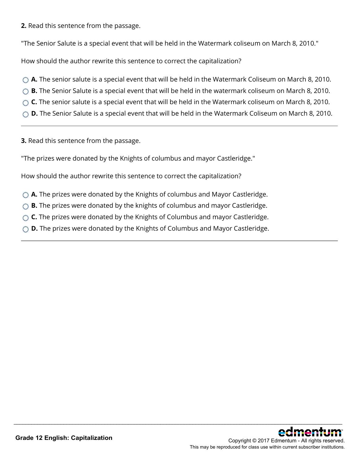**2.** Read this sentence from the passage.

"The Senior Salute is a special event that will be held in the Watermark coliseum on March 8, 2010."

How should the author rewrite this sentence to correct the capitalization?

- **A.** The senior salute is a special event that will be held in the Watermark Coliseum on March 8, 2010.
- **B.** The Senior Salute is a special event that will be held in the watermark coliseum on March 8, 2010.
- **C.** The senior salute is a special event that will be held in the Watermark coliseum on March 8, 2010.
- ◯ **D.** The Senior Salute is a special event that will be held in the Watermark Coliseum on March 8, 2010.

\_\_\_\_\_\_\_\_\_\_\_\_\_\_\_\_\_\_\_\_\_\_\_\_\_\_\_\_\_\_\_\_\_\_\_\_\_\_\_\_\_\_\_\_\_\_\_\_\_\_\_\_\_\_\_\_\_\_\_\_\_\_\_\_\_\_\_\_\_\_\_\_\_\_\_\_\_\_\_\_\_\_\_\_\_\_\_\_\_\_\_\_\_\_\_\_\_\_\_\_\_\_\_\_\_\_\_\_\_\_\_\_

**3.** Read this sentence from the passage.

"The prizes were donated by the Knights of columbus and mayor Castleridge."

How should the author rewrite this sentence to correct the capitalization?

- **A.** The prizes were donated by the Knights of columbus and Mayor Castleridge.
- ◯ **B.** The prizes were donated by the knights of columbus and mayor Castleridge.
- ◯ **C.** The prizes were donated by the Knights of Columbus and mayor Castleridge.
- **D.** The prizes were donated by the Knights of Columbus and Mayor Castleridge.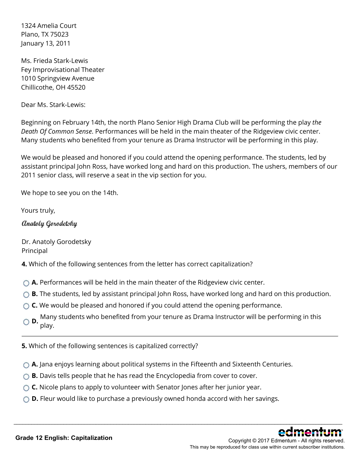1324 Amelia Court Plano, TX 75023 January 13, 2011

Ms. Frieda Stark-Lewis Fey Improvisational Theater 1010 Springview Avenue Chillicothe, OH 45520

Dear Ms. Stark-Lewis:

Beginning on February 14th, the north Plano Senior High Drama Club will be performing the play *the Death Of Common Sense*. Performances will be held in the main theater of the Ridgeview civic center. Many students who benefited from your tenure as Drama Instructor will be performing in this play.

We would be pleased and honored if you could attend the opening performance. The students, led by assistant principal John Ross, have worked long and hard on this production. The ushers, members of our 2011 senior class, will reserve a seat in the vip section for you.

We hope to see you on the 14th.

Yours truly,

Anatoly Gorodetsky

Dr. Anatoly Gorodetsky Principal

**4.** Which of the following sentences from the letter has correct capitalization?

◯ **A.** Performances will be held in the main theater of the Ridgeview civic center.

- **B.** The students, led by assistant principal John Ross, have worked long and hard on this production.
- ◯ **C.** We would be pleased and honored if you could attend the opening performance.
- **D.** Many students who benefited from your tenure as Drama Instructor will be performing in this **D.** play play.

\_\_\_\_\_\_\_\_\_\_\_\_\_\_\_\_\_\_\_\_\_\_\_\_\_\_\_\_\_\_\_\_\_\_\_\_\_\_\_\_\_\_\_\_\_\_\_\_\_\_\_\_\_\_\_\_\_\_\_\_\_\_\_\_\_\_\_\_\_\_\_\_\_\_\_\_\_\_\_\_\_\_\_\_\_\_\_\_\_\_\_\_\_\_\_\_\_\_\_\_\_\_\_\_\_\_\_\_\_\_\_\_

**5.** Which of the following sentences is capitalized correctly?

- ◯ **A.** Jana enjoys learning about political systems in the Fifteenth and Sixteenth Centuries.
- **B.** Davis tells people that he has read the Encyclopedia from cover to cover.
- **C.** Nicole plans to apply to volunteer with Senator Jones after her junior year.
- ◯ **D.** Fleur would like to purchase a previously owned honda accord with her savings.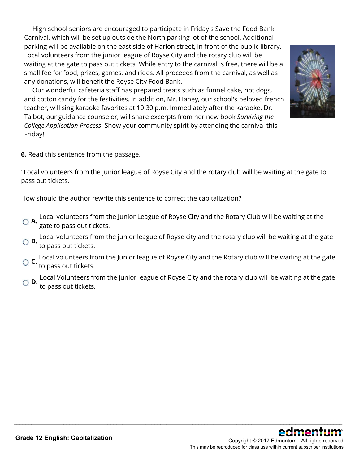High school seniors are encouraged to participate in Friday's Save the Food Bank Carnival, which will be set up outside the North parking lot of the school. Additional parking will be available on the east side of Harlon street, in front of the public library. Local volunteers from the junior league of Royse City and the rotary club will be waiting at the gate to pass out tickets. While entry to the carnival is free, there will be a small fee for food, prizes, games, and rides. All proceeds from the carnival, as well as any donations, will benefit the Royse City Food Bank.

 Our wonderful cafeteria staff has prepared treats such as funnel cake, hot dogs, and cotton candy for the festivities. In addition, Mr. Haney, our school's beloved french teacher, will sing karaoke favorites at 10:30 p.m. Immediately after the karaoke, Dr. Talbot, our guidance counselor, will share excerpts from her new book *Surviving the College Application Process*. Show your community spirit by attending the carnival this Friday!



**6.** Read this sentence from the passage.

"Local volunteers from the junior league of Royse City and the rotary club will be waiting at the gate to pass out tickets."

How should the author rewrite this sentence to correct the capitalization?

- **A.** Local volunteers from the Junior League of Royse City and the Rotary Club will be waiting at the gate to pass out tickets.
- **B.** Local volunteers from the junior league of Royse city and the rotary club will be waiting at the gate to pass out tickets.
- **C.** Local volunteers from the Junior league of Royse City and the Rotary club will be waiting at the gate to pass out tickets.
- **D.** Local Volunteers from the junior league of Royse City and the rotary club will be waiting at the gate **D.**<br>to pass out tickets.

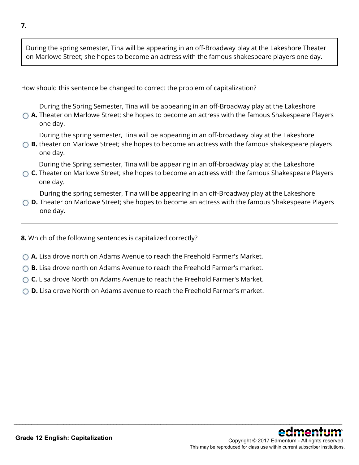During the spring semester, Tina will be appearing in an off-Broadway play at the Lakeshore Theater on Marlowe Street; she hopes to become an actress with the famous shakespeare players one day.

How should this sentence be changed to correct the problem of capitalization?

During the Spring Semester, Tina will be appearing in an off-Broadway play at the Lakeshore

**A.** Theater on Marlowe Street; she hopes to become an actress with the famous Shakespeare Players one day.

During the spring semester, Tina will be appearing in an off-broadway play at the Lakeshore

**B.** theater on Marlowe Street; she hopes to become an actress with the famous shakespeare players one day.

During the Spring semester, Tina will be appearing in an off-broadway play at the Lakeshore

**C.** Theater on Marlowe Street; she hopes to become an actress with the famous Shakespeare Players one day.

During the spring semester, Tina will be appearing in an off-Broadway play at the Lakeshore

**D.** Theater on Marlowe Street; she hopes to become an actress with the famous Shakespeare Players one day.

\_\_\_\_\_\_\_\_\_\_\_\_\_\_\_\_\_\_\_\_\_\_\_\_\_\_\_\_\_\_\_\_\_\_\_\_\_\_\_\_\_\_\_\_\_\_\_\_\_\_\_\_\_\_\_\_\_\_\_\_\_\_\_\_\_\_\_\_\_\_\_\_\_\_\_\_\_\_\_\_\_\_\_\_\_\_\_\_\_\_\_\_\_\_\_\_\_\_\_\_\_\_\_\_\_\_\_\_\_\_\_\_

**8.** Which of the following sentences is capitalized correctly?

- **A.** Lisa drove north on Adams Avenue to reach the Freehold Farmer's Market.
- ◯ **B.** Lisa drove north on Adams Avenue to reach the Freehold Farmer's market.
- **C.** Lisa drove North on Adams Avenue to reach the Freehold Farmer's Market.
- **D.** Lisa drove North on Adams avenue to reach the Freehold Farmer's market.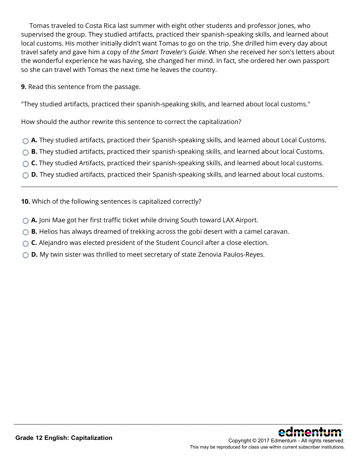Tomas traveled to Costa Rica last summer with eight other students and professor Jones, who supervised the group. They studied artifacts, practiced their spanish-speaking skills, and learned about local customs. His mother initially didn't want Tomas to go on the trip. She drilled him every day about travel safety and gave him a copy of *the Smart Traveler's Guide*. When she received her son's letters about the wonderful experience he was having, she changed her mind. In fact, she ordered her own passport so she can travel with Tomas the next time he leaves the country.

**9.** Read this sentence from the passage.

"They studied artifacts, practiced their spanish-speaking skills, and learned about local customs."

How should the author rewrite this sentence to correct the capitalization?

- **A.** They studied artifacts, practiced their Spanish-speaking skills, and learned about Local Customs.
- ◯ **B.** They studied artifacts, practiced their spanish-speaking skills, and learned about local Customs.
- ◯ **C.** They studied Artifacts, practiced their spanish-speaking skills, and learned about local customs.
- **D.** They studied artifacts, practiced their Spanish-speaking skills, and learned about local customs.

- **10.** Which of the following sentences is capitalized correctly?
- **A.** Joni Mae got her first traffic ticket while driving South toward LAX Airport.
- ◯ **B.** Helios has always dreamed of trekking across the gobi desert with a camel caravan.
- ◯ **C.** Alejandro was elected president of the Student Council after a close election.
- ◯ **D.** My twin sister was thrilled to meet secretary of state Zenovia Paulos-Reyes.

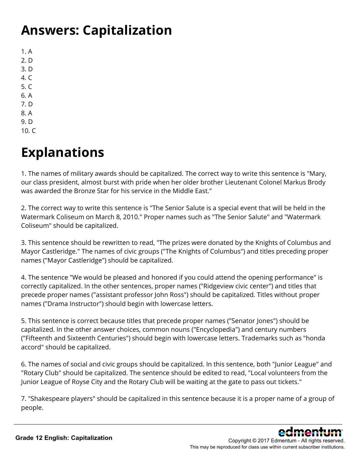### **Answers: Capitalization**

1. A 2. D 3. D 4. C 5. C 6. A 7. D 8. A 9. D

10. C

# **Explanations**

1. The names of military awards should be capitalized. The correct way to write this sentence is "Mary, our class president, almost burst with pride when her older brother Lieutenant Colonel Markus Brody was awarded the Bronze Star for his service in the Middle East."

2. The correct way to write this sentence is "The Senior Salute is a special event that will be held in the Watermark Coliseum on March 8, 2010." Proper names such as "The Senior Salute" and "Watermark Coliseum" should be capitalized.

3. This sentence should be rewritten to read, "The prizes were donated by the Knights of Columbus and Mayor Castleridge." The names of civic groups ("The Knights of Columbus") and titles preceding proper names ("Mayor Castleridge") should be capitalized.

4. The sentence "We would be pleased and honored if you could attend the opening performance" is correctly capitalized. In the other sentences, proper names ("Ridgeview civic center") and titles that precede proper names ("assistant professor John Ross") should be capitalized. Titles without proper names ("Drama Instructor") should begin with lowercase letters.

5. This sentence is correct because titles that precede proper names ("Senator Jones") should be capitalized. In the other answer choices, common nouns ("Encyclopedia") and century numbers ("Fifteenth and Sixteenth Centuries") should begin with lowercase letters. Trademarks such as "honda accord" should be capitalized.

6. The names of social and civic groups should be capitalized. In this sentence, both "Junior League" and "Rotary Club" should be capitalized. The sentence should be edited to read, "Local volunteers from the Junior League of Royse City and the Rotary Club will be waiting at the gate to pass out tickets."

7. "Shakespeare players" should be capitalized in this sentence because it is a proper name of a group of people.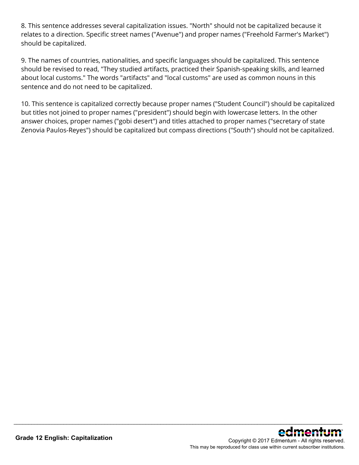8. This sentence addresses several capitalization issues. "North" should not be capitalized because it relates to a direction. Specific street names ("Avenue") and proper names ("Freehold Farmer's Market") should be capitalized.

9. The names of countries, nationalities, and specific languages should be capitalized. This sentence should be revised to read, "They studied artifacts, practiced their Spanish-speaking skills, and learned about local customs." The words "artifacts" and "local customs" are used as common nouns in this sentence and do not need to be capitalized.

10. This sentence is capitalized correctly because proper names ("Student Council") should be capitalized but titles not joined to proper names ("president") should begin with lowercase letters. In the other answer choices, proper names ("gobi desert") and titles attached to proper names ("secretary of state Zenovia Paulos-Reyes") should be capitalized but compass directions ("South") should not be capitalized.

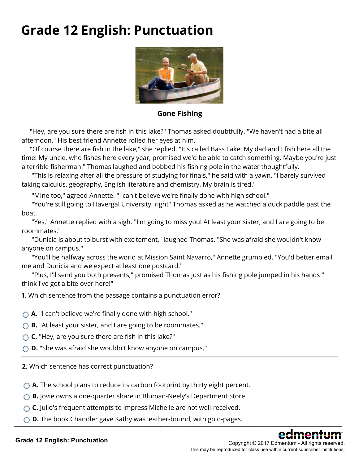### **Grade 12 English: Punctuation**



**Gone Fishing**

 "Hey, are you sure there are fish in this lake?" Thomas asked doubtfully. "We haven't had a bite all afternoon." His best friend Annette rolled her eyes at him.

 "Of course there are fish in the lake," she replied. "It's called Bass Lake. My dad and I fish here all the time! My uncle, who fishes here every year, promised we'd be able to catch something. Maybe you're just a terrible fisherman." Thomas laughed and bobbed his fishing pole in the water thoughtfully.

 "This is relaxing after all the pressure of studying for finals," he said with a yawn. "I barely survived taking calculus, geography, English literature and chemistry. My brain is tired."

"Mine too," agreed Annette. "I can't believe we're finally done with high school."

 "You're still going to Havergal University, right" Thomas asked as he watched a duck paddle past the boat.

"Yes," Annette replied with a sigh. "I'm going to miss you! At least your sister, and I are going to be roommates."

 "Dunicia is about to burst with excitement," laughed Thomas. "She was afraid she wouldn't know anyone on campus."

 "You'll be halfway across the world at Mission Saint Navarro," Annette grumbled. "You'd better email me and Dunicia and we expect at least one postcard."

 "Plus, I'll send you both presents," promised Thomas just as his fishing pole jumped in his hands "I think I've got a bite over here!"

**1.** Which sentence from the passage contains a punctuation error?

- **A.** "I can't believe we're finally done with high school."
- **B.** "At least your sister, and I are going to be roommates."
- **C.** "Hey, are you sure there are fish in this lake?"
- **D.** "She was afraid she wouldn't know anyone on campus."

**2.** Which sentence has correct punctuation?

- **A.** The school plans to reduce its carbon footprint by thirty eight percent.
- **B.** Jovie owns a one-quarter share in Bluman-Neely's Department Store.
- **C.** Julio's frequent attempts to impress Michelle are not well-received.
- **D.** The book Chandler gave Kathy was leather-bound, with gold-pages.  $\frac{1}{2}$  ,  $\frac{1}{2}$  ,  $\frac{1}{2}$  ,  $\frac{1}{2}$  ,  $\frac{1}{2}$  ,  $\frac{1}{2}$  ,  $\frac{1}{2}$  ,  $\frac{1}{2}$  ,  $\frac{1}{2}$



Copyright © 2017 Edmentum - All rights reserved. This may be reproduced for class use within current subscriber institutions.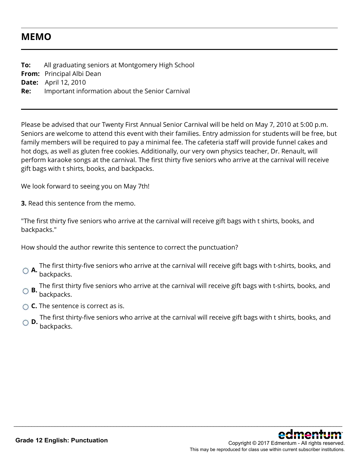### **MEMO**

**To:** All graduating seniors at Montgomery High School **From:** Principal Albi Dean **Date:** April 12, 2010 **Re:** Important information about the Senior Carnival

Please be advised that our Twenty First Annual Senior Carnival will be held on May 7, 2010 at 5:00 p.m. Seniors are welcome to attend this event with their families. Entry admission for students will be free, but family members will be required to pay a minimal fee. The cafeteria staff will provide funnel cakes and hot dogs, as well as gluten free cookies. Additionally, our very own physics teacher, Dr. Renault, will perform karaoke songs at the carnival. The first thirty five seniors who arrive at the carnival will receive gift bags with t shirts, books, and backpacks.

We look forward to seeing you on May 7th!

**3.** Read this sentence from the memo.

"The first thirty five seniors who arrive at the carnival will receive gift bags with t shirts, books, and backpacks."

How should the author rewrite this sentence to correct the punctuation?

- **A.** The first thirty-five seniors who arrive at the carnival will receive gift bags with t-shirts, books, and<br>**A.** backpacks.
- **B.** The first thirty five seniors who arrive at the carnival will receive gift bags with t-shirts, books, and backpacks.
- **C.** The sentence is correct as is.
- **D.** The first thirty-five seniors who arrive at the carnival will receive gift bags with t shirts, books, and backpacks.

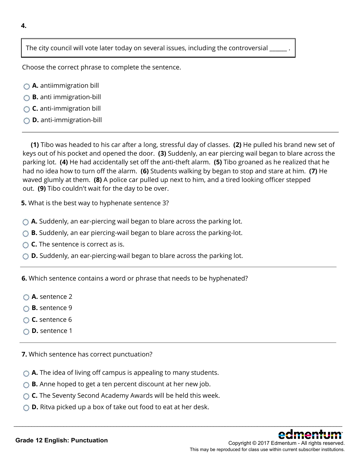The city council will vote later today on several issues, including the controversial

Choose the correct phrase to complete the sentence.

- **A.** antiimmigration bill
- **B.** anti immigration-bill
- **C.** anti-immigration bill
- **D.** anti-immigration-bill

**(1)** Tibo was headed to his car after a long, stressful day of classes. **(2)** He pulled his brand new set of keys out of his pocket and opened the door. **(3)** Suddenly, an ear piercing wail began to blare across the parking lot. **(4)** He had accidentally set off the anti-theft alarm. **(5)** Tibo groaned as he realized that he had no idea how to turn off the alarm. **(6)** Students walking by began to stop and stare at him. **(7)** He waved glumly at them. **(8)** A police car pulled up next to him, and a tired looking officer stepped out. **(9)** Tibo couldn't wait for the day to be over.

\_\_\_\_\_\_\_\_\_\_\_\_\_\_\_\_\_\_\_\_\_\_\_\_\_\_\_\_\_\_\_\_\_\_\_\_\_\_\_\_\_\_\_\_\_\_\_\_\_\_\_\_\_\_\_\_\_\_\_\_\_\_\_\_\_\_\_\_\_\_\_\_\_\_\_\_\_\_\_\_\_\_\_\_\_\_\_\_\_\_\_\_\_\_\_\_\_\_\_\_\_\_\_\_\_\_\_\_\_\_\_\_

**5.** What is the best way to hyphenate sentence 3?

- **A.** Suddenly, an ear-piercing wail began to blare across the parking lot.
- ◯ **B.** Suddenly, an ear piercing-wail began to blare across the parking-lot.
- **C.** The sentence is correct as is.
- ◯ **D.** Suddenly, an ear-piercing-wail began to blare across the parking lot.

**6.** Which sentence contains a word or phrase that needs to be hyphenated?

- **A.** sentence 2
- **B.** sentence 9
- **C.** sentence 6
- **D.** sentence 1

**7.** Which sentence has correct punctuation?

- ◯ **A.** The idea of living off campus is appealing to many students.
- ◯ **B.** Anne hoped to get a ten percent discount at her new job.
- **C.** The Seventy Second Academy Awards will be held this week.
- ◯ **D.** Ritva picked up a box of take out food to eat at her desk.

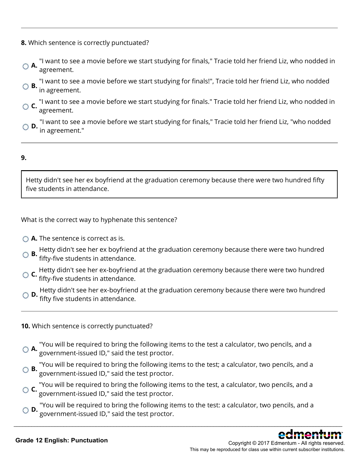- **8.** Which sentence is correctly punctuated?
- **A.** "I want to see a movie before we start studying for finals," Tracie told her friend Liz, who nodded in  $\bigcirc$ agreement.
- **B.** "I want to see a movie before we start studying for finals!", Tracie told her friend Liz, who nodded  $\bigcirc$  **B.** in agreement.
- **C.** "I want to see a movie before we start studying for finals." Tracie told her friend Liz, who nodded in  $\circ$  **c.**  $\frac{1}{\text{agreement}}$ .
- "I want to see a movie before we start studying for finals," Tracie told her friend Liz, "who nodded in agreement."

#### **9.**

Hetty didn't see her ex boyfriend at the graduation ceremony because there were two hundred fifty five students in attendance.

What is the correct way to hyphenate this sentence?

- **△ A.** The sentence is correct as is.
- **B.** Hetty didn't see her ex boyfriend at the graduation ceremony because there were two hundred fifty-five students in attendance.
- **C.** Hetty didn't see her ex-boyfriend at the graduation ceremony because there were two hundred fifty-five students in attendance.
- **D.** Hetty didn't see her ex-boyfriend at the graduation ceremony because there were two hundred fifty five students in attendance.
- **10.** Which sentence is correctly punctuated?
- **A.** "You will be required to bring the following items to the test a calculator, two pencils, and a **G A.** government-issued ID," said the test proctor.
- **B.** "You will be required to bring the following items to the test; a calculator, two pencils, and a **B.**  $\overline{\text{S}}$ government-issued ID," said the test proctor.
- **C.** "You will be required to bring the following items to the test, a calculator, two pencils, and a **C.** coverage the section of the test prestage. government-issued ID," said the test proctor.
- **D.** "You will be required to bring the following items to the test: a calculator, two pencils, and a government-issued ID," said the test proctor.

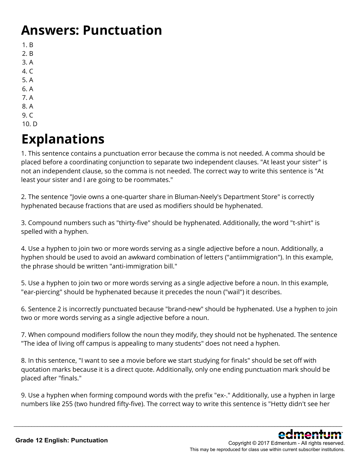### **Answers: Punctuation**

- 1. B
- 2. B
- 3. A
- 4. C
- 5. A
- 6. A
- 7. A
- 8. A
- 9. C
- 10. D

# **Explanations**

1. This sentence contains a punctuation error because the comma is not needed. A comma should be placed before a coordinating conjunction to separate two independent clauses. "At least your sister" is not an independent clause, so the comma is not needed. The correct way to write this sentence is "At least your sister and I are going to be roommates."

2. The sentence "Jovie owns a one-quarter share in Bluman-Neely's Department Store" is correctly hyphenated because fractions that are used as modifiers should be hyphenated.

3. Compound numbers such as "thirty-five" should be hyphenated. Additionally, the word "t-shirt" is spelled with a hyphen.

4. Use a hyphen to join two or more words serving as a single adjective before a noun. Additionally, a hyphen should be used to avoid an awkward combination of letters ("antiimmigration"). In this example, the phrase should be written "anti-immigration bill."

5. Use a hyphen to join two or more words serving as a single adjective before a noun. In this example, "ear-piercing" should be hyphenated because it precedes the noun ("wail") it describes.

6. Sentence 2 is incorrectly punctuated because "brand-new" should be hyphenated. Use a hyphen to join two or more words serving as a single adjective before a noun.

7. When compound modifiers follow the noun they modify, they should not be hyphenated. The sentence "The idea of living off campus is appealing to many students" does not need a hyphen.

8. In this sentence, "I want to see a movie before we start studying for finals" should be set off with quotation marks because it is a direct quote. Additionally, only one ending punctuation mark should be placed after "finals."

9. Use a hyphen when forming compound words with the prefix "ex-." Additionally, use a hyphen in large numbers like 255 (two hundred fifty-five). The correct way to write this sentence is "Hetty didn't see her

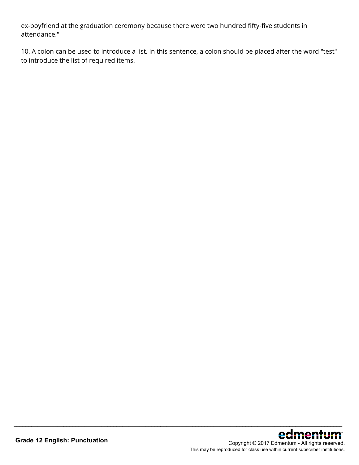ex-boyfriend at the graduation ceremony because there were two hundred fifty-five students in attendance."

10. A colon can be used to introduce a list. In this sentence, a colon should be placed after the word "test" to introduce the list of required items.

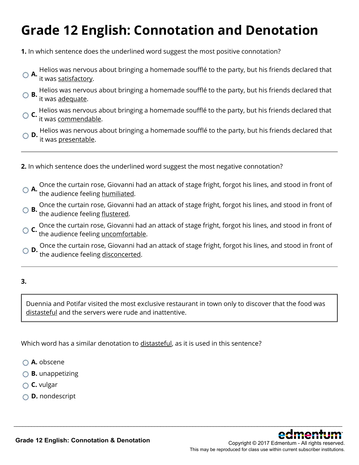# **Grade 12 English: Connotation and Denotation**

**1.** In which sentence does the underlined word suggest the most positive connotation?

- **A.** Helios was nervous about bringing a homemade soufflé to the party, but his friends declared that <br> **A.** it was satisfactory: it was satisfactory.
- **B.** Helios was nervous about bringing a homemade soufflé to the party, but his friends declared that **B.** it was <u>adequate</u>.
- **C.** Helios was nervous about bringing a homemade soufflé to the party, but his friends declared that  $\overline{C}$ it was commendable.
- **D.** Helios was nervous about bringing a homemade soufflé to the party, but his friends declared that it was presentable.
- **2.** In which sentence does the underlined word suggest the most negative connotation?
- **A.** Once the curtain rose, Giovanni had an attack of stage fright, forgot his lines, and stood in front of<br>**A.** the audience feeling <u>humiliated</u>.
- **B.** Once the curtain rose, Giovanni had an attack of stage fright, forgot his lines, and stood in front of the audience feeling <u>flustered</u>.
- **C.** Once the curtain rose, Giovanni had an attack of stage fright, forgot his lines, and stood in front of the audience feeling uncomfortable.
- **D.** Once the curtain rose, Giovanni had an attack of stage fright, forgot his lines, and stood in front of the audience feeling disconcerted.

#### **3.**

Duennia and Potifar visited the most exclusive restaurant in town only to discover that the food was distasteful and the servers were rude and inattentive.

\_\_\_\_\_\_\_\_\_\_\_\_\_\_\_\_\_\_\_\_\_\_\_\_\_\_\_\_\_\_\_\_\_\_\_\_\_\_\_\_\_\_\_\_\_\_\_\_\_\_\_\_\_\_\_\_\_\_\_\_\_\_\_\_\_\_\_\_\_\_\_\_\_\_\_\_\_\_\_\_\_\_\_\_\_\_\_\_\_\_\_\_\_\_\_\_\_\_\_\_\_\_\_\_\_\_\_\_\_\_\_\_

Which word has a similar denotation to distasteful, as it is used in this sentence?

- **A.** obscene
- **B.** unappetizing
- **C.** vulgar
- **D.** nondescript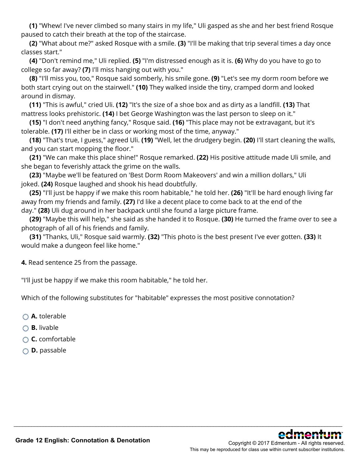**(1)** "Whew! I've never climbed so many stairs in my life," Uli gasped as she and her best friend Rosque paused to catch their breath at the top of the staircase.

**(2)** "What about me?" asked Rosque with a smile. **(3)** "I'll be making that trip several times a day once classes start."

**(4)** "Don't remind me," Uli replied. **(5)** "I'm distressed enough as it is. **(6)** Why do you have to go to college so far away? **(7)** I'll miss hanging out with you."

**(8)** "I'll miss you, too," Rosque said somberly, his smile gone. **(9)** "Let's see my dorm room before we both start crying out on the stairwell." **(10)** They walked inside the tiny, cramped dorm and looked around in dismay.

**(11)** "This is awful," cried Uli. **(12)** "It's the size of a shoe box and as dirty as a landfill. **(13)** That mattress looks prehistoric. **(14)** I bet George Washington was the last person to sleep on it."

**(15)** "I don't need anything fancy," Rosque said. **(16)** "This place may not be extravagant, but it's tolerable. **(17)** I'll either be in class or working most of the time, anyway."

**(18)** "That's true, I guess," agreed Uli. **(19)** "Well, let the drudgery begin. **(20)** I'll start cleaning the walls, and you can start mopping the floor."

**(21)** "We can make this place shine!" Rosque remarked. **(22)** His positive attitude made Uli smile, and she began to feverishly attack the grime on the walls.

**(23)** "Maybe we'll be featured on 'Best Dorm Room Makeovers' and win a million dollars," Uli joked. **(24)** Rosque laughed and shook his head doubtfully.

**(25)** "I'll just be happy if we make this room habitable," he told her. **(26)** "It'll be hard enough living far away from my friends and family. **(27)** I'd like a decent place to come back to at the end of the day." **(28)** Uli dug around in her backpack until she found a large picture frame.

**(29)** "Maybe this will help," she said as she handed it to Rosque. **(30)** He turned the frame over to see a photograph of all of his friends and family.

\_\_\_\_\_\_\_\_\_\_\_\_\_\_\_\_\_\_\_\_\_\_\_\_\_\_\_\_\_\_\_\_\_\_\_\_\_\_\_\_\_\_\_\_\_\_\_\_\_\_\_\_\_\_\_\_\_\_\_\_\_\_\_\_\_\_\_\_\_\_\_\_\_\_\_\_\_\_\_\_\_\_\_\_\_\_\_\_\_\_\_\_\_\_\_\_\_\_\_\_\_\_\_\_\_\_\_\_\_\_\_\_

**(31)** "Thanks, Uli," Rosque said warmly. **(32)** "This photo is the best present I've ever gotten. **(33)** It would make a dungeon feel like home."

**4.** Read sentence 25 from the passage.

"I'll just be happy if we make this room habitable," he told her.

Which of the following substitutes for "habitable" expresses the most positive connotation?

- **A.** tolerable
- **B.** livable
- **C.** comfortable
- **D.** passable

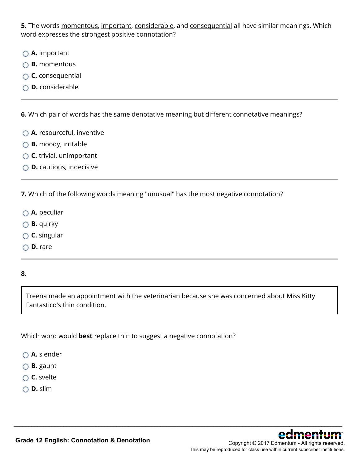**5.** The words momentous, important, considerable, and consequential all have similar meanings. Which word expresses the strongest positive connotation?

- **A.** important
- **B.** momentous
- **C.** consequential
- **D.** considerable

**6.** Which pair of words has the same denotative meaning but different connotative meanings?

- **A.** resourceful, inventive
- **B.** moody, irritable
- **C.** trivial, unimportant
- **D.** cautious, indecisive

**7.** Which of the following words meaning "unusual" has the most negative connotation?

- **A.** peculiar
- **B.** quirky
- **C.** singular
- **D.** rare

#### **8.**

Treena made an appointment with the veterinarian because she was concerned about Miss Kitty Fantastico's thin condition.

\_\_\_\_\_\_\_\_\_\_\_\_\_\_\_\_\_\_\_\_\_\_\_\_\_\_\_\_\_\_\_\_\_\_\_\_\_\_\_\_\_\_\_\_\_\_\_\_\_\_\_\_\_\_\_\_\_\_\_\_\_\_\_\_\_\_\_\_\_\_\_\_\_\_\_\_\_\_\_\_\_\_\_\_\_\_\_\_\_\_\_\_\_\_\_\_\_\_\_\_\_\_\_\_\_\_\_\_\_\_\_\_

Which word would **best** replace thin to suggest a negative connotation?

- **A.** slender
- **B.** gaunt
- **C.** svelte
- **D.** slim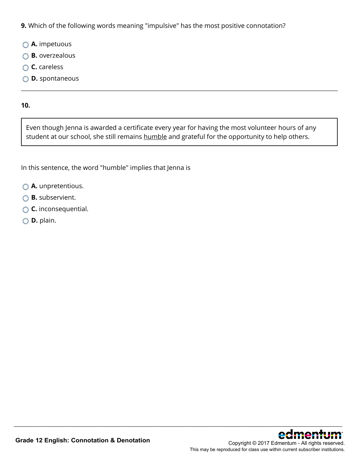**9.** Which of the following words meaning "impulsive" has the most positive connotation?

- **A.** impetuous
- **B.** overzealous
- **C.** careless
- **D.** spontaneous

#### **10.**

Even though Jenna is awarded a certificate every year for having the most volunteer hours of any student at our school, she still remains humble and grateful for the opportunity to help others.

\_\_\_\_\_\_\_\_\_\_\_\_\_\_\_\_\_\_\_\_\_\_\_\_\_\_\_\_\_\_\_\_\_\_\_\_\_\_\_\_\_\_\_\_\_\_\_\_\_\_\_\_\_\_\_\_\_\_\_\_\_\_\_\_\_\_\_\_\_\_\_\_\_\_\_\_\_\_\_\_\_\_\_\_\_\_\_\_\_\_\_\_\_\_\_\_\_\_\_\_\_\_\_\_\_\_\_\_\_\_\_\_

In this sentence, the word "humble" implies that Jenna is

- **A.** unpretentious.
- **B.** subservient.
- **C.** inconsequential.
- **D.** plain.

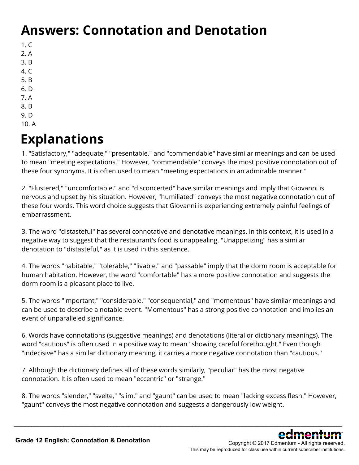## **Answers: Connotation and Denotation**

- $1. C$
- 2. A
- 3. B
- 4. C
- 5. B
- 6. D 7. A
- 8. B
- 9. D
- 10. A

## **Explanations**

1. "Satisfactory," "adequate," "presentable," and "commendable" have similar meanings and can be used to mean "meeting expectations." However, "commendable" conveys the most positive connotation out of these four synonyms. It is often used to mean "meeting expectations in an admirable manner."

2. "Flustered," "uncomfortable," and "disconcerted" have similar meanings and imply that Giovanni is nervous and upset by his situation. However, "humiliated" conveys the most negative connotation out of these four words. This word choice suggests that Giovanni is experiencing extremely painful feelings of embarrassment.

3. The word "distasteful" has several connotative and denotative meanings. In this context, it is used in a negative way to suggest that the restaurant's food is unappealing. "Unappetizing" has a similar denotation to "distasteful," as it is used in this sentence.

4. The words "habitable," "tolerable," "livable," and "passable" imply that the dorm room is acceptable for human habitation. However, the word "comfortable" has a more positive connotation and suggests the dorm room is a pleasant place to live.

5. The words "important," "considerable," "consequential," and "momentous" have similar meanings and can be used to describe a notable event. "Momentous" has a strong positive connotation and implies an event of unparalleled significance.

6. Words have connotations (suggestive meanings) and denotations (literal or dictionary meanings). The word "cautious" is often used in a positive way to mean "showing careful forethought." Even though "indecisive" has a similar dictionary meaning, it carries a more negative connotation than "cautious."

7. Although the dictionary defines all of these words similarly, "peculiar" has the most negative connotation. It is often used to mean "eccentric" or "strange."

8. The words "slender," "svelte," "slim," and "gaunt" can be used to mean "lacking excess flesh." However, "gaunt" conveys the most negative connotation and suggests a dangerously low weight.

\_\_\_\_\_\_\_\_\_\_\_\_\_\_\_\_\_\_\_\_\_\_\_\_\_\_\_\_\_\_\_\_\_\_\_\_\_\_\_\_\_\_\_\_\_\_\_\_\_\_\_\_\_\_\_\_\_\_\_\_\_\_\_\_\_\_\_\_\_\_\_\_\_\_\_\_\_\_\_\_\_\_\_\_\_\_\_\_\_\_\_\_\_\_\_\_\_\_\_\_\_\_\_\_\_\_\_\_\_\_\_\_